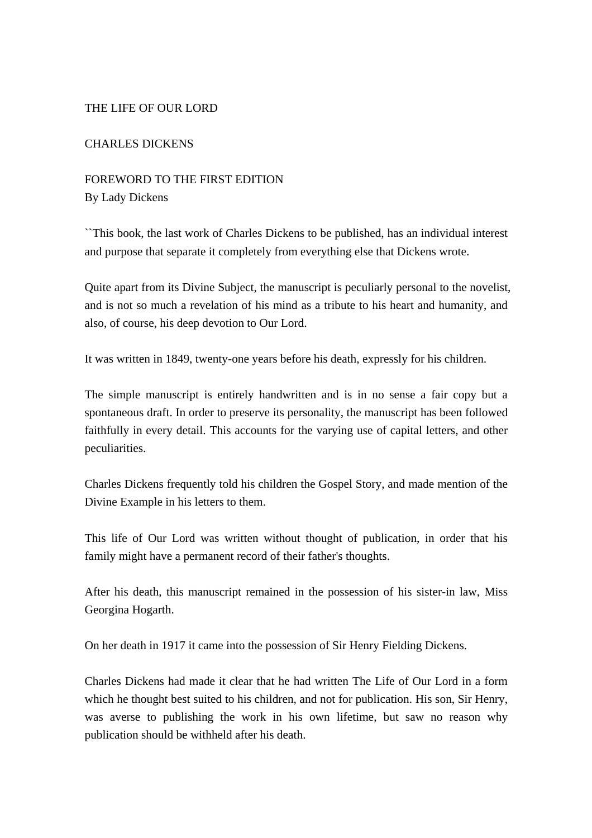# THE LIFE OF OUR LORD

### CHARLES DICKENS

# FOREWORD TO THE FIRST EDITION By Lady Dickens

``This book, the last work of Charles Dickens to be published, has an individual interest and purpose that separate it completely from everything else that Dickens wrote.

Quite apart from its Divine Subject, the manuscript is peculiarly personal to the novelist, and is not so much a revelation of his mind as a tribute to his heart and humanity, and also, of course, his deep devotion to Our Lord.

It was written in 1849, twenty-one years before his death, expressly for his children.

The simple manuscript is entirely handwritten and is in no sense a fair copy but a spontaneous draft. In order to preserve its personality, the manuscript has been followed faithfully in every detail. This accounts for the varying use of capital letters, and other peculiarities.

Charles Dickens frequently told his children the Gospel Story, and made mention of the Divine Example in his letters to them.

This life of Our Lord was written without thought of publication, in order that his family might have a permanent record of their father's thoughts.

After his death, this manuscript remained in the possession of his sister-in law, Miss Georgina Hogarth.

On her death in 1917 it came into the possession of Sir Henry Fielding Dickens.

Charles Dickens had made it clear that he had written The Life of Our Lord in a form which he thought best suited to his children, and not for publication. His son, Sir Henry, was averse to publishing the work in his own lifetime, but saw no reason why publication should be withheld after his death.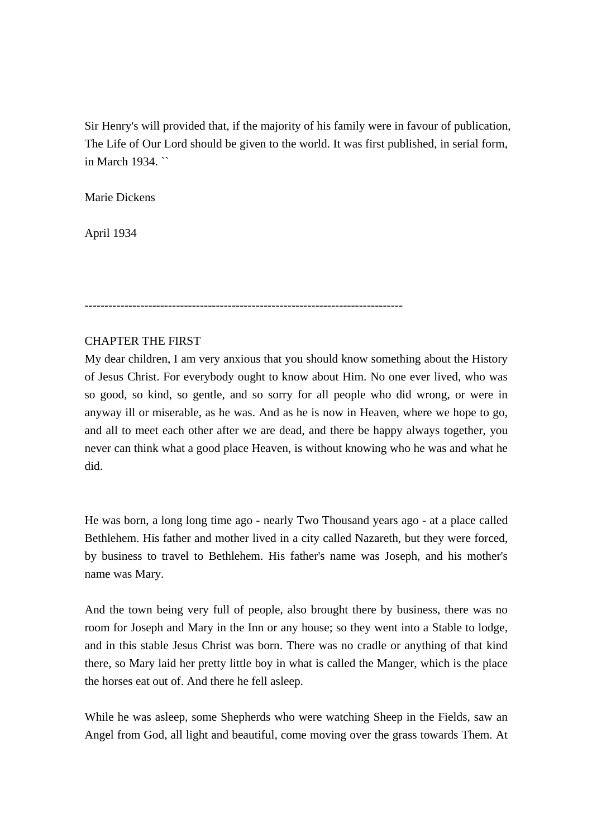Sir Henry's will provided that, if the majority of his family were in favour of publication, The Life of Our Lord should be given to the world. It was first published, in serial form, in March 1934. ``

Marie Dickens

April 1934

# CHAPTER THE FIRST

My dear children, I am very anxious that you should know something about the History of Jesus Christ. For everybody ought to know about Him. No one ever lived, who was so good, so kind, so gentle, and so sorry for all people who did wrong, or were in anyway ill or miserable, as he was. And as he is now in Heaven, where we hope to go, and all to meet each other after we are dead, and there be happy always together, you never can think what a good place Heaven, is without knowing who he was and what he did.

--------------------------------------------------------------------------------

He was born, a long long time ago - nearly Two Thousand years ago - at a place called Bethlehem. His father and mother lived in a city called Nazareth, but they were forced, by business to travel to Bethlehem. His father's name was Joseph, and his mother's name was Mary.

And the town being very full of people, also brought there by business, there was no room for Joseph and Mary in the Inn or any house; so they went into a Stable to lodge, and in this stable Jesus Christ was born. There was no cradle or anything of that kind there, so Mary laid her pretty little boy in what is called the Manger, which is the place the horses eat out of. And there he fell asleep.

While he was asleep, some Shepherds who were watching Sheep in the Fields, saw an Angel from God, all light and beautiful, come moving over the grass towards Them. At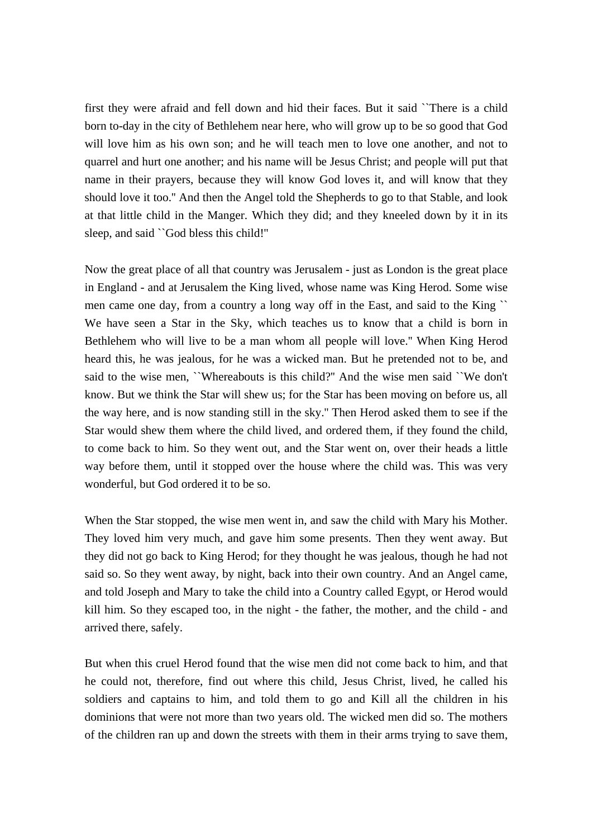first they were afraid and fell down and hid their faces. But it said ``There is a child born to-day in the city of Bethlehem near here, who will grow up to be so good that God will love him as his own son; and he will teach men to love one another, and not to quarrel and hurt one another; and his name will be Jesus Christ; and people will put that name in their prayers, because they will know God loves it, and will know that they should love it too.'' And then the Angel told the Shepherds to go to that Stable, and look at that little child in the Manger. Which they did; and they kneeled down by it in its sleep, and said ``God bless this child!''

Now the great place of all that country was Jerusalem - just as London is the great place in England - and at Jerusalem the King lived, whose name was King Herod. Some wise men came one day, from a country a long way off in the East, and said to the King `` We have seen a Star in the Sky, which teaches us to know that a child is born in Bethlehem who will live to be a man whom all people will love.'' When King Herod heard this, he was jealous, for he was a wicked man. But he pretended not to be, and said to the wise men, ``Whereabouts is this child?'' And the wise men said ``We don't know. But we think the Star will shew us; for the Star has been moving on before us, all the way here, and is now standing still in the sky.'' Then Herod asked them to see if the Star would shew them where the child lived, and ordered them, if they found the child, to come back to him. So they went out, and the Star went on, over their heads a little way before them, until it stopped over the house where the child was. This was very wonderful, but God ordered it to be so.

When the Star stopped, the wise men went in, and saw the child with Mary his Mother. They loved him very much, and gave him some presents. Then they went away. But they did not go back to King Herod; for they thought he was jealous, though he had not said so. So they went away, by night, back into their own country. And an Angel came, and told Joseph and Mary to take the child into a Country called Egypt, or Herod would kill him. So they escaped too, in the night - the father, the mother, and the child - and arrived there, safely.

But when this cruel Herod found that the wise men did not come back to him, and that he could not, therefore, find out where this child, Jesus Christ, lived, he called his soldiers and captains to him, and told them to go and Kill all the children in his dominions that were not more than two years old. The wicked men did so. The mothers of the children ran up and down the streets with them in their arms trying to save them,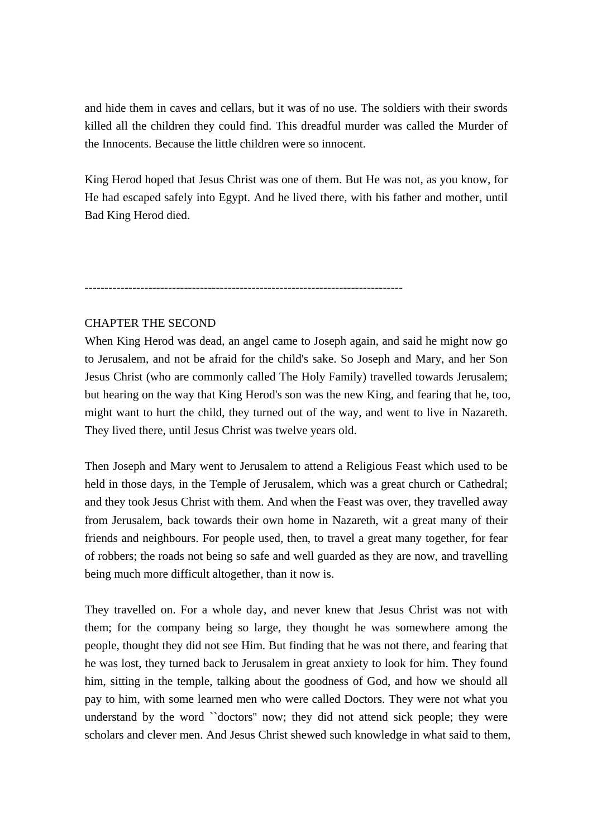and hide them in caves and cellars, but it was of no use. The soldiers with their swords killed all the children they could find. This dreadful murder was called the Murder of the Innocents. Because the little children were so innocent.

King Herod hoped that Jesus Christ was one of them. But He was not, as you know, for He had escaped safely into Egypt. And he lived there, with his father and mother, until Bad King Herod died.

--------------------------------------------------------------------------------

# CHAPTER THE SECOND

When King Herod was dead, an angel came to Joseph again, and said he might now go to Jerusalem, and not be afraid for the child's sake. So Joseph and Mary, and her Son Jesus Christ (who are commonly called The Holy Family) travelled towards Jerusalem; but hearing on the way that King Herod's son was the new King, and fearing that he, too, might want to hurt the child, they turned out of the way, and went to live in Nazareth. They lived there, until Jesus Christ was twelve years old.

Then Joseph and Mary went to Jerusalem to attend a Religious Feast which used to be held in those days, in the Temple of Jerusalem, which was a great church or Cathedral; and they took Jesus Christ with them. And when the Feast was over, they travelled away from Jerusalem, back towards their own home in Nazareth, wit a great many of their friends and neighbours. For people used, then, to travel a great many together, for fear of robbers; the roads not being so safe and well guarded as they are now, and travelling being much more difficult altogether, than it now is.

They travelled on. For a whole day, and never knew that Jesus Christ was not with them; for the company being so large, they thought he was somewhere among the people, thought they did not see Him. But finding that he was not there, and fearing that he was lost, they turned back to Jerusalem in great anxiety to look for him. They found him, sitting in the temple, talking about the goodness of God, and how we should all pay to him, with some learned men who were called Doctors. They were not what you understand by the word ``doctors'' now; they did not attend sick people; they were scholars and clever men. And Jesus Christ shewed such knowledge in what said to them,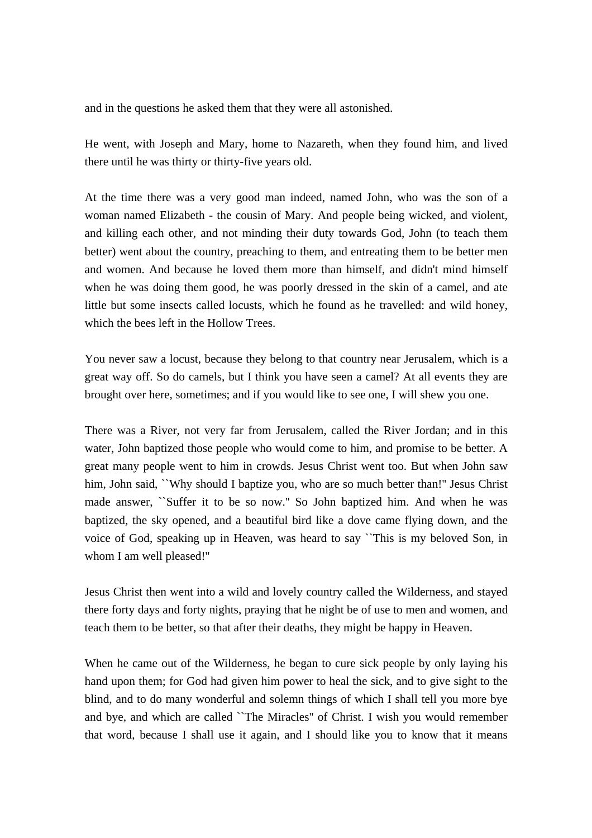and in the questions he asked them that they were all astonished.

He went, with Joseph and Mary, home to Nazareth, when they found him, and lived there until he was thirty or thirty-five years old.

At the time there was a very good man indeed, named John, who was the son of a woman named Elizabeth - the cousin of Mary. And people being wicked, and violent, and killing each other, and not minding their duty towards God, John (to teach them better) went about the country, preaching to them, and entreating them to be better men and women. And because he loved them more than himself, and didn't mind himself when he was doing them good, he was poorly dressed in the skin of a camel, and ate little but some insects called locusts, which he found as he travelled: and wild honey, which the bees left in the Hollow Trees.

You never saw a locust, because they belong to that country near Jerusalem, which is a great way off. So do camels, but I think you have seen a camel? At all events they are brought over here, sometimes; and if you would like to see one, I will shew you one.

There was a River, not very far from Jerusalem, called the River Jordan; and in this water, John baptized those people who would come to him, and promise to be better. A great many people went to him in crowds. Jesus Christ went too. But when John saw him, John said, ``Why should I baptize you, who are so much better than!" Jesus Christ made answer, ``Suffer it to be so now.'' So John baptized him. And when he was baptized, the sky opened, and a beautiful bird like a dove came flying down, and the voice of God, speaking up in Heaven, was heard to say ``This is my beloved Son, in whom I am well pleased!''

Jesus Christ then went into a wild and lovely country called the Wilderness, and stayed there forty days and forty nights, praying that he night be of use to men and women, and teach them to be better, so that after their deaths, they might be happy in Heaven.

When he came out of the Wilderness, he began to cure sick people by only laying his hand upon them; for God had given him power to heal the sick, and to give sight to the blind, and to do many wonderful and solemn things of which I shall tell you more bye and bye, and which are called ``The Miracles'' of Christ. I wish you would remember that word, because I shall use it again, and I should like you to know that it means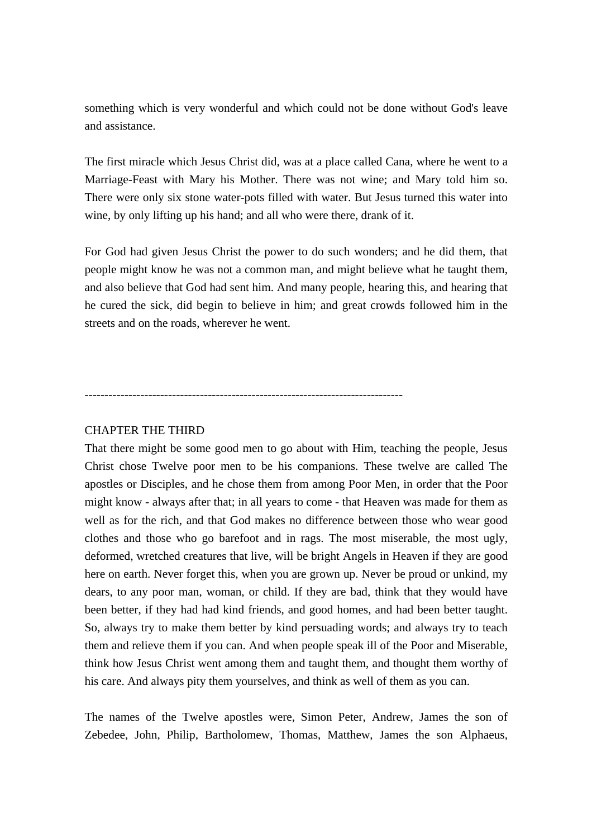something which is very wonderful and which could not be done without God's leave and assistance.

The first miracle which Jesus Christ did, was at a place called Cana, where he went to a Marriage-Feast with Mary his Mother. There was not wine; and Mary told him so. There were only six stone water-pots filled with water. But Jesus turned this water into wine, by only lifting up his hand; and all who were there, drank of it.

For God had given Jesus Christ the power to do such wonders; and he did them, that people might know he was not a common man, and might believe what he taught them, and also believe that God had sent him. And many people, hearing this, and hearing that he cured the sick, did begin to believe in him; and great crowds followed him in the streets and on the roads, wherever he went.

--------------------------------------------------------------------------------

### CHAPTER THE THIRD

That there might be some good men to go about with Him, teaching the people, Jesus Christ chose Twelve poor men to be his companions. These twelve are called The apostles or Disciples, and he chose them from among Poor Men, in order that the Poor might know - always after that; in all years to come - that Heaven was made for them as well as for the rich, and that God makes no difference between those who wear good clothes and those who go barefoot and in rags. The most miserable, the most ugly, deformed, wretched creatures that live, will be bright Angels in Heaven if they are good here on earth. Never forget this, when you are grown up. Never be proud or unkind, my dears, to any poor man, woman, or child. If they are bad, think that they would have been better, if they had had kind friends, and good homes, and had been better taught. So, always try to make them better by kind persuading words; and always try to teach them and relieve them if you can. And when people speak ill of the Poor and Miserable, think how Jesus Christ went among them and taught them, and thought them worthy of his care. And always pity them yourselves, and think as well of them as you can.

The names of the Twelve apostles were, Simon Peter, Andrew, James the son of Zebedee, John, Philip, Bartholomew, Thomas, Matthew, James the son Alphaeus,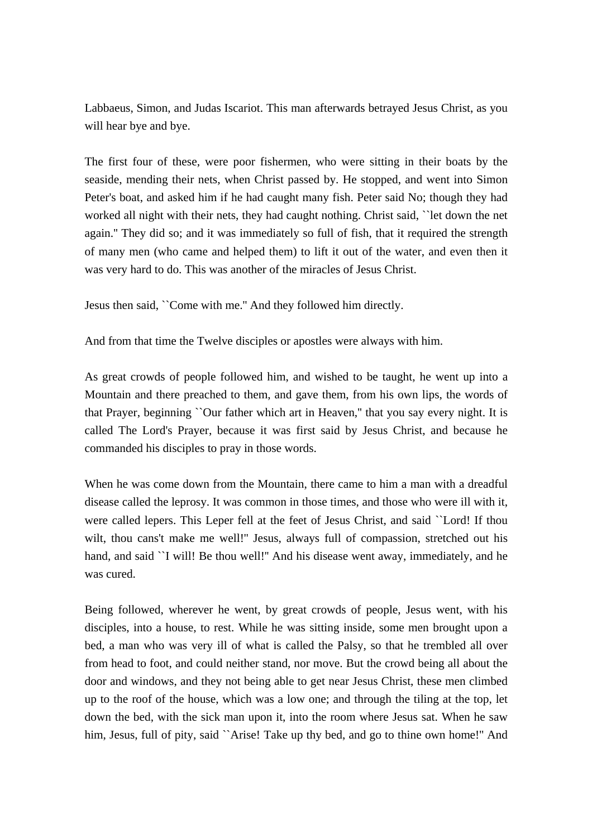Labbaeus, Simon, and Judas Iscariot. This man afterwards betrayed Jesus Christ, as you will hear bye and bye.

The first four of these, were poor fishermen, who were sitting in their boats by the seaside, mending their nets, when Christ passed by. He stopped, and went into Simon Peter's boat, and asked him if he had caught many fish. Peter said No; though they had worked all night with their nets, they had caught nothing. Christ said, ``let down the net again.'' They did so; and it was immediately so full of fish, that it required the strength of many men (who came and helped them) to lift it out of the water, and even then it was very hard to do. This was another of the miracles of Jesus Christ.

Jesus then said, ``Come with me.'' And they followed him directly.

And from that time the Twelve disciples or apostles were always with him.

As great crowds of people followed him, and wished to be taught, he went up into a Mountain and there preached to them, and gave them, from his own lips, the words of that Prayer, beginning ``Our father which art in Heaven,'' that you say every night. It is called The Lord's Prayer, because it was first said by Jesus Christ, and because he commanded his disciples to pray in those words.

When he was come down from the Mountain, there came to him a man with a dreadful disease called the leprosy. It was common in those times, and those who were ill with it, were called lepers. This Leper fell at the feet of Jesus Christ, and said ``Lord! If thou wilt, thou cans't make me well!" Jesus, always full of compassion, stretched out his hand, and said ``I will! Be thou well!" And his disease went away, immediately, and he was cured.

Being followed, wherever he went, by great crowds of people, Jesus went, with his disciples, into a house, to rest. While he was sitting inside, some men brought upon a bed, a man who was very ill of what is called the Palsy, so that he trembled all over from head to foot, and could neither stand, nor move. But the crowd being all about the door and windows, and they not being able to get near Jesus Christ, these men climbed up to the roof of the house, which was a low one; and through the tiling at the top, let down the bed, with the sick man upon it, into the room where Jesus sat. When he saw him, Jesus, full of pity, said ``Arise! Take up thy bed, and go to thine own home!" And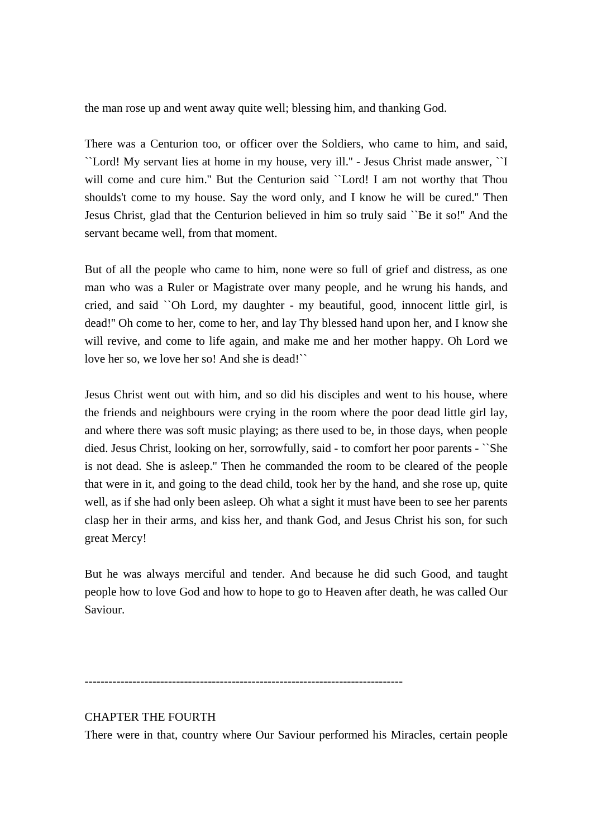the man rose up and went away quite well; blessing him, and thanking God.

There was a Centurion too, or officer over the Soldiers, who came to him, and said, ``Lord! My servant lies at home in my house, very ill.'' - Jesus Christ made answer, ``I will come and cure him." But the Centurion said "Lord! I am not worthy that Thou shoulds't come to my house. Say the word only, and I know he will be cured.'' Then Jesus Christ, glad that the Centurion believed in him so truly said ``Be it so!'' And the servant became well, from that moment.

But of all the people who came to him, none were so full of grief and distress, as one man who was a Ruler or Magistrate over many people, and he wrung his hands, and cried, and said ``Oh Lord, my daughter - my beautiful, good, innocent little girl, is dead!'' Oh come to her, come to her, and lay Thy blessed hand upon her, and I know she will revive, and come to life again, and make me and her mother happy. Oh Lord we love her so, we love her so! And she is dead!``

Jesus Christ went out with him, and so did his disciples and went to his house, where the friends and neighbours were crying in the room where the poor dead little girl lay, and where there was soft music playing; as there used to be, in those days, when people died. Jesus Christ, looking on her, sorrowfully, said - to comfort her poor parents - ``She is not dead. She is asleep.'' Then he commanded the room to be cleared of the people that were in it, and going to the dead child, took her by the hand, and she rose up, quite well, as if she had only been asleep. Oh what a sight it must have been to see her parents clasp her in their arms, and kiss her, and thank God, and Jesus Christ his son, for such great Mercy!

But he was always merciful and tender. And because he did such Good, and taught people how to love God and how to hope to go to Heaven after death, he was called Our Saviour.

# CHAPTER THE FOURTH

There were in that, country where Our Saviour performed his Miracles, certain people

<sup>--------------------------------------------------------------------------------</sup>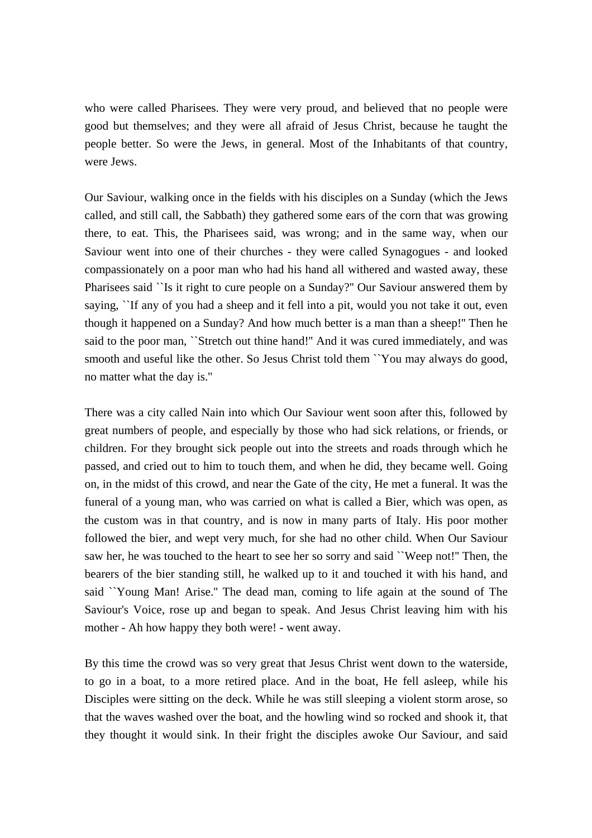who were called Pharisees. They were very proud, and believed that no people were good but themselves; and they were all afraid of Jesus Christ, because he taught the people better. So were the Jews, in general. Most of the Inhabitants of that country, were Jews.

Our Saviour, walking once in the fields with his disciples on a Sunday (which the Jews called, and still call, the Sabbath) they gathered some ears of the corn that was growing there, to eat. This, the Pharisees said, was wrong; and in the same way, when our Saviour went into one of their churches - they were called Synagogues - and looked compassionately on a poor man who had his hand all withered and wasted away, these Pharisees said ``Is it right to cure people on a Sunday?'' Our Saviour answered them by saying, "If any of you had a sheep and it fell into a pit, would you not take it out, even though it happened on a Sunday? And how much better is a man than a sheep!'' Then he said to the poor man, ``Stretch out thine hand!'' And it was cured immediately, and was smooth and useful like the other. So Jesus Christ told them ``You may always do good, no matter what the day is.''

There was a city called Nain into which Our Saviour went soon after this, followed by great numbers of people, and especially by those who had sick relations, or friends, or children. For they brought sick people out into the streets and roads through which he passed, and cried out to him to touch them, and when he did, they became well. Going on, in the midst of this crowd, and near the Gate of the city, He met a funeral. It was the funeral of a young man, who was carried on what is called a Bier, which was open, as the custom was in that country, and is now in many parts of Italy. His poor mother followed the bier, and wept very much, for she had no other child. When Our Saviour saw her, he was touched to the heart to see her so sorry and said ``Weep not!" Then, the bearers of the bier standing still, he walked up to it and touched it with his hand, and said ``Young Man! Arise.'' The dead man, coming to life again at the sound of The Saviour's Voice, rose up and began to speak. And Jesus Christ leaving him with his mother - Ah how happy they both were! - went away.

By this time the crowd was so very great that Jesus Christ went down to the waterside, to go in a boat, to a more retired place. And in the boat, He fell asleep, while his Disciples were sitting on the deck. While he was still sleeping a violent storm arose, so that the waves washed over the boat, and the howling wind so rocked and shook it, that they thought it would sink. In their fright the disciples awoke Our Saviour, and said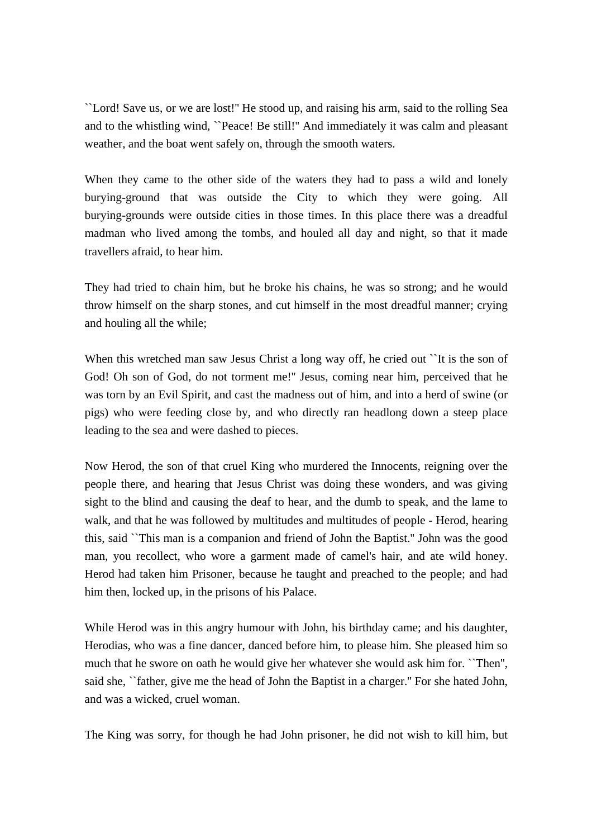``Lord! Save us, or we are lost!'' He stood up, and raising his arm, said to the rolling Sea and to the whistling wind, ``Peace! Be still!'' And immediately it was calm and pleasant weather, and the boat went safely on, through the smooth waters.

When they came to the other side of the waters they had to pass a wild and lonely burying-ground that was outside the City to which they were going. All burying-grounds were outside cities in those times. In this place there was a dreadful madman who lived among the tombs, and houled all day and night, so that it made travellers afraid, to hear him.

They had tried to chain him, but he broke his chains, he was so strong; and he would throw himself on the sharp stones, and cut himself in the most dreadful manner; crying and houling all the while;

When this wretched man saw Jesus Christ a long way off, he cried out "It is the son of God! Oh son of God, do not torment me!'' Jesus, coming near him, perceived that he was torn by an Evil Spirit, and cast the madness out of him, and into a herd of swine (or pigs) who were feeding close by, and who directly ran headlong down a steep place leading to the sea and were dashed to pieces.

Now Herod, the son of that cruel King who murdered the Innocents, reigning over the people there, and hearing that Jesus Christ was doing these wonders, and was giving sight to the blind and causing the deaf to hear, and the dumb to speak, and the lame to walk, and that he was followed by multitudes and multitudes of people - Herod, hearing this, said ``This man is a companion and friend of John the Baptist.'' John was the good man, you recollect, who wore a garment made of camel's hair, and ate wild honey. Herod had taken him Prisoner, because he taught and preached to the people; and had him then, locked up, in the prisons of his Palace.

While Herod was in this angry humour with John, his birthday came; and his daughter, Herodias, who was a fine dancer, danced before him, to please him. She pleased him so much that he swore on oath he would give her whatever she would ask him for. ``Then'', said she, ``father, give me the head of John the Baptist in a charger.'' For she hated John, and was a wicked, cruel woman.

The King was sorry, for though he had John prisoner, he did not wish to kill him, but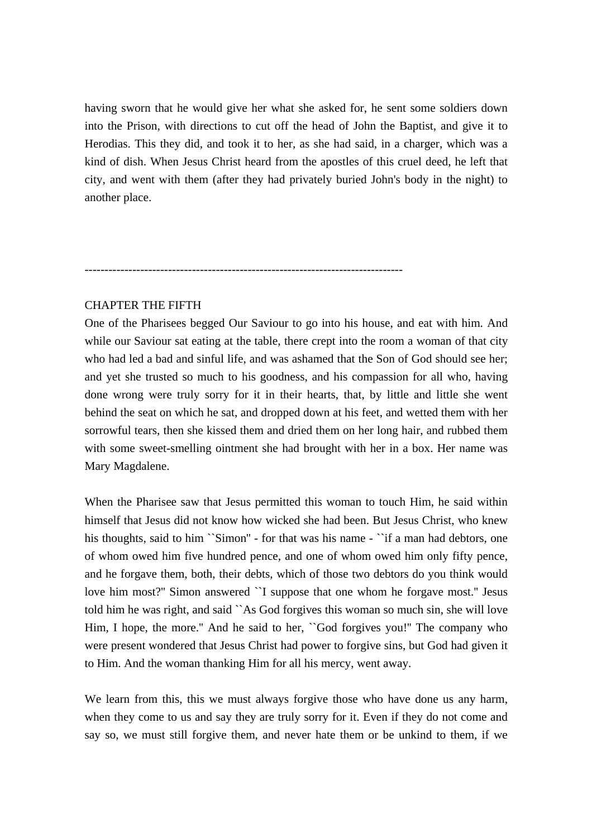having sworn that he would give her what she asked for, he sent some soldiers down into the Prison, with directions to cut off the head of John the Baptist, and give it to Herodias. This they did, and took it to her, as she had said, in a charger, which was a kind of dish. When Jesus Christ heard from the apostles of this cruel deed, he left that city, and went with them (after they had privately buried John's body in the night) to another place.

--------------------------------------------------------------------------------

#### CHAPTER THE FIFTH

One of the Pharisees begged Our Saviour to go into his house, and eat with him. And while our Saviour sat eating at the table, there crept into the room a woman of that city who had led a bad and sinful life, and was ashamed that the Son of God should see her; and yet she trusted so much to his goodness, and his compassion for all who, having done wrong were truly sorry for it in their hearts, that, by little and little she went behind the seat on which he sat, and dropped down at his feet, and wetted them with her sorrowful tears, then she kissed them and dried them on her long hair, and rubbed them with some sweet-smelling ointment she had brought with her in a box. Her name was Mary Magdalene.

When the Pharisee saw that Jesus permitted this woman to touch Him, he said within himself that Jesus did not know how wicked she had been. But Jesus Christ, who knew his thoughts, said to him ``Simon'' - for that was his name - ``if a man had debtors, one of whom owed him five hundred pence, and one of whom owed him only fifty pence, and he forgave them, both, their debts, which of those two debtors do you think would love him most?'' Simon answered ``I suppose that one whom he forgave most.'' Jesus told him he was right, and said ``As God forgives this woman so much sin, she will love Him, I hope, the more." And he said to her, "God forgives you!" The company who were present wondered that Jesus Christ had power to forgive sins, but God had given it to Him. And the woman thanking Him for all his mercy, went away.

We learn from this, this we must always forgive those who have done us any harm, when they come to us and say they are truly sorry for it. Even if they do not come and say so, we must still forgive them, and never hate them or be unkind to them, if we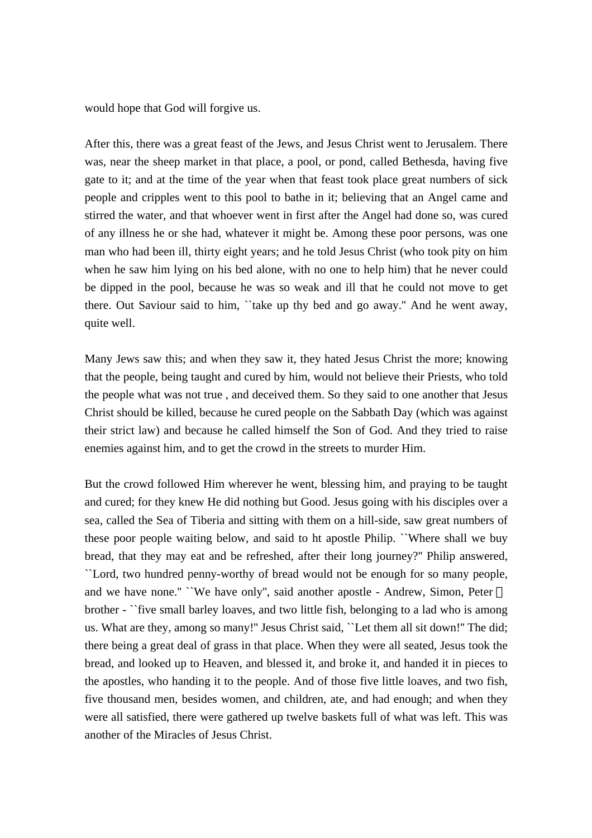would hope that God will forgive us.

After this, there was a great feast of the Jews, and Jesus Christ went to Jerusalem. There was, near the sheep market in that place, a pool, or pond, called Bethesda, having five gate to it; and at the time of the year when that feast took place great numbers of sick people and cripples went to this pool to bathe in it; believing that an Angel came and stirred the water, and that whoever went in first after the Angel had done so, was cured of any illness he or she had, whatever it might be. Among these poor persons, was one man who had been ill, thirty eight years; and he told Jesus Christ (who took pity on him when he saw him lying on his bed alone, with no one to help him) that he never could be dipped in the pool, because he was so weak and ill that he could not move to get there. Out Saviour said to him, ``take up thy bed and go away.'' And he went away, quite well.

Many Jews saw this; and when they saw it, they hated Jesus Christ the more; knowing that the people, being taught and cured by him, would not believe their Priests, who told the people what was not true , and deceived them. So they said to one another that Jesus Christ should be killed, because he cured people on the Sabbath Day (which was against their strict law) and because he called himself the Son of God. And they tried to raise enemies against him, and to get the crowd in the streets to murder Him.

But the crowd followed Him wherever he went, blessing him, and praying to be taught and cured; for they knew He did nothing but Good. Jesus going with his disciples over a sea, called the Sea of Tiberia and sitting with them on a hill-side, saw great numbers of these poor people waiting below, and said to ht apostle Philip. ``Where shall we buy bread, that they may eat and be refreshed, after their long journey?'' Philip answered, ``Lord, two hundred penny-worthy of bread would not be enough for so many people, and we have none.'' ``We have only'', said another apostle - Andrew, Simon, Peter brother - ``five small barley loaves, and two little fish, belonging to a lad who is among us. What are they, among so many!'' Jesus Christ said, ``Let them all sit down!'' The did; there being a great deal of grass in that place. When they were all seated, Jesus took the bread, and looked up to Heaven, and blessed it, and broke it, and handed it in pieces to the apostles, who handing it to the people. And of those five little loaves, and two fish, five thousand men, besides women, and children, ate, and had enough; and when they were all satisfied, there were gathered up twelve baskets full of what was left. This was another of the Miracles of Jesus Christ.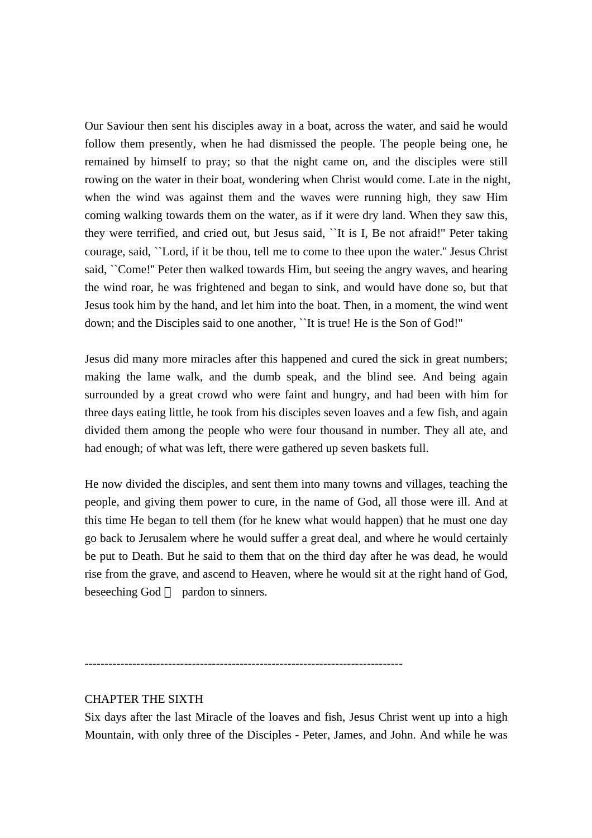Our Saviour then sent his disciples away in a boat, across the water, and said he would follow them presently, when he had dismissed the people. The people being one, he remained by himself to pray; so that the night came on, and the disciples were still rowing on the water in their boat, wondering when Christ would come. Late in the night, when the wind was against them and the waves were running high, they saw Him coming walking towards them on the water, as if it were dry land. When they saw this, they were terrified, and cried out, but Jesus said, ``It is I, Be not afraid!'' Peter taking courage, said, ``Lord, if it be thou, tell me to come to thee upon the water.'' Jesus Christ said, ``Come!'' Peter then walked towards Him, but seeing the angry waves, and hearing the wind roar, he was frightened and began to sink, and would have done so, but that Jesus took him by the hand, and let him into the boat. Then, in a moment, the wind went down; and the Disciples said to one another, ``It is true! He is the Son of God!''

Jesus did many more miracles after this happened and cured the sick in great numbers; making the lame walk, and the dumb speak, and the blind see. And being again surrounded by a great crowd who were faint and hungry, and had been with him for three days eating little, he took from his disciples seven loaves and a few fish, and again divided them among the people who were four thousand in number. They all ate, and had enough; of what was left, there were gathered up seven baskets full.

He now divided the disciples, and sent them into many towns and villages, teaching the people, and giving them power to cure, in the name of God, all those were ill. And at this time He began to tell them (for he knew what would happen) that he must one day go back to Jerusalem where he would suffer a great deal, and where he would certainly be put to Death. But he said to them that on the third day after he was dead, he would rise from the grave, and ascend to Heaven, where he would sit at the right hand of God, beseeching God pardon to sinners.

--------------------------------------------------------------------------------

### CHAPTER THE SIXTH

Six days after the last Miracle of the loaves and fish, Jesus Christ went up into a high Mountain, with only three of the Disciples - Peter, James, and John. And while he was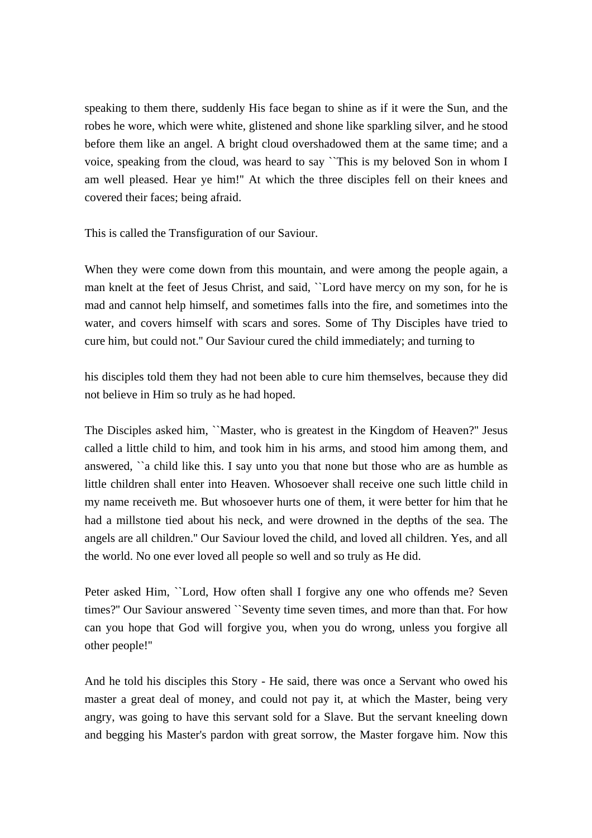speaking to them there, suddenly His face began to shine as if it were the Sun, and the robes he wore, which were white, glistened and shone like sparkling silver, and he stood before them like an angel. A bright cloud overshadowed them at the same time; and a voice, speaking from the cloud, was heard to say ``This is my beloved Son in whom I am well pleased. Hear ye him!'' At which the three disciples fell on their knees and covered their faces; being afraid.

This is called the Transfiguration of our Saviour.

When they were come down from this mountain, and were among the people again, a man knelt at the feet of Jesus Christ, and said, ``Lord have mercy on my son, for he is mad and cannot help himself, and sometimes falls into the fire, and sometimes into the water, and covers himself with scars and sores. Some of Thy Disciples have tried to cure him, but could not.'' Our Saviour cured the child immediately; and turning to

his disciples told them they had not been able to cure him themselves, because they did not believe in Him so truly as he had hoped.

The Disciples asked him, ``Master, who is greatest in the Kingdom of Heaven?'' Jesus called a little child to him, and took him in his arms, and stood him among them, and answered, ``a child like this. I say unto you that none but those who are as humble as little children shall enter into Heaven. Whosoever shall receive one such little child in my name receiveth me. But whosoever hurts one of them, it were better for him that he had a millstone tied about his neck, and were drowned in the depths of the sea. The angels are all children.'' Our Saviour loved the child, and loved all children. Yes, and all the world. No one ever loved all people so well and so truly as He did.

Peter asked Him, ``Lord, How often shall I forgive any one who offends me? Seven times?'' Our Saviour answered ``Seventy time seven times, and more than that. For how can you hope that God will forgive you, when you do wrong, unless you forgive all other people!''

And he told his disciples this Story - He said, there was once a Servant who owed his master a great deal of money, and could not pay it, at which the Master, being very angry, was going to have this servant sold for a Slave. But the servant kneeling down and begging his Master's pardon with great sorrow, the Master forgave him. Now this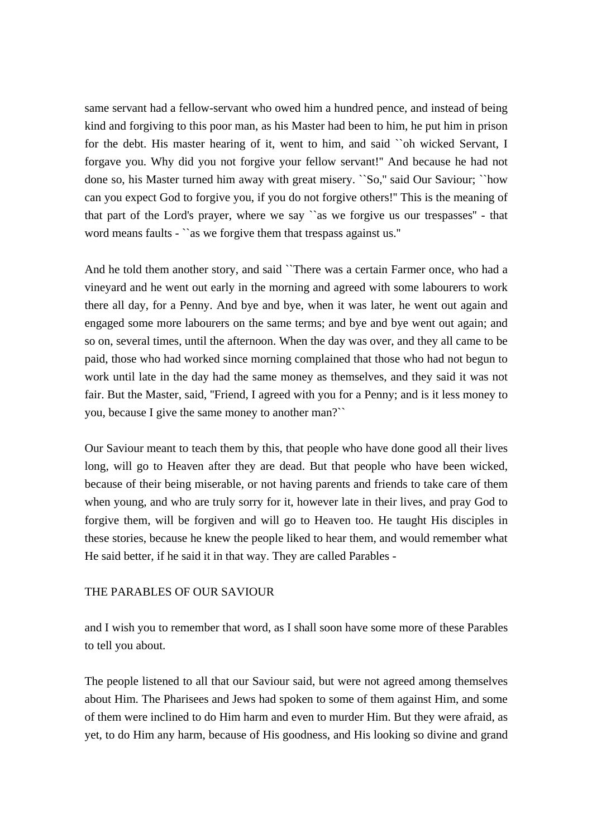same servant had a fellow-servant who owed him a hundred pence, and instead of being kind and forgiving to this poor man, as his Master had been to him, he put him in prison for the debt. His master hearing of it, went to him, and said ``oh wicked Servant, I forgave you. Why did you not forgive your fellow servant!'' And because he had not done so, his Master turned him away with great misery. ``So,'' said Our Saviour; ``how can you expect God to forgive you, if you do not forgive others!'' This is the meaning of that part of the Lord's prayer, where we say ``as we forgive us our trespasses'' - that word means faults - "as we forgive them that trespass against us."

And he told them another story, and said ``There was a certain Farmer once, who had a vineyard and he went out early in the morning and agreed with some labourers to work there all day, for a Penny. And bye and bye, when it was later, he went out again and engaged some more labourers on the same terms; and bye and bye went out again; and so on, several times, until the afternoon. When the day was over, and they all came to be paid, those who had worked since morning complained that those who had not begun to work until late in the day had the same money as themselves, and they said it was not fair. But the Master, said, "Friend, I agreed with you for a Penny; and is it less money to you, because I give the same money to another man?``

Our Saviour meant to teach them by this, that people who have done good all their lives long, will go to Heaven after they are dead. But that people who have been wicked, because of their being miserable, or not having parents and friends to take care of them when young, and who are truly sorry for it, however late in their lives, and pray God to forgive them, will be forgiven and will go to Heaven too. He taught His disciples in these stories, because he knew the people liked to hear them, and would remember what He said better, if he said it in that way. They are called Parables -

### THE PARABLES OF OUR SAVIOUR

and I wish you to remember that word, as I shall soon have some more of these Parables to tell you about.

The people listened to all that our Saviour said, but were not agreed among themselves about Him. The Pharisees and Jews had spoken to some of them against Him, and some of them were inclined to do Him harm and even to murder Him. But they were afraid, as yet, to do Him any harm, because of His goodness, and His looking so divine and grand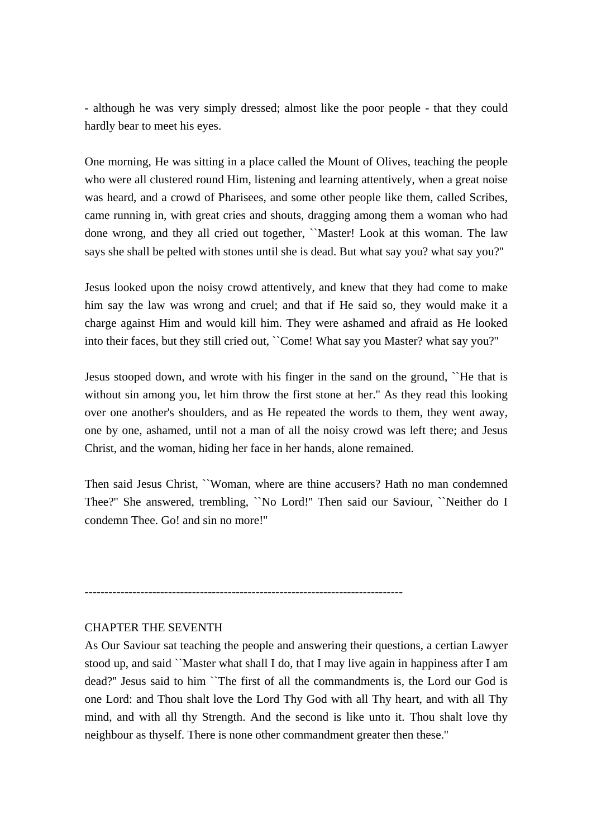- although he was very simply dressed; almost like the poor people - that they could hardly bear to meet his eyes.

One morning, He was sitting in a place called the Mount of Olives, teaching the people who were all clustered round Him, listening and learning attentively, when a great noise was heard, and a crowd of Pharisees, and some other people like them, called Scribes, came running in, with great cries and shouts, dragging among them a woman who had done wrong, and they all cried out together, ``Master! Look at this woman. The law says she shall be pelted with stones until she is dead. But what say you? what say you?''

Jesus looked upon the noisy crowd attentively, and knew that they had come to make him say the law was wrong and cruel; and that if He said so, they would make it a charge against Him and would kill him. They were ashamed and afraid as He looked into their faces, but they still cried out, ``Come! What say you Master? what say you?''

Jesus stooped down, and wrote with his finger in the sand on the ground, ``He that is without sin among you, let him throw the first stone at her." As they read this looking over one another's shoulders, and as He repeated the words to them, they went away, one by one, ashamed, until not a man of all the noisy crowd was left there; and Jesus Christ, and the woman, hiding her face in her hands, alone remained.

Then said Jesus Christ, ``Woman, where are thine accusers? Hath no man condemned Thee?'' She answered, trembling, ``No Lord!'' Then said our Saviour, ``Neither do I condemn Thee. Go! and sin no more!''

--------------------------------------------------------------------------------

## CHAPTER THE SEVENTH

As Our Saviour sat teaching the people and answering their questions, a certian Lawyer stood up, and said ``Master what shall I do, that I may live again in happiness after I am dead?'' Jesus said to him ``The first of all the commandments is, the Lord our God is one Lord: and Thou shalt love the Lord Thy God with all Thy heart, and with all Thy mind, and with all thy Strength. And the second is like unto it. Thou shalt love thy neighbour as thyself. There is none other commandment greater then these.''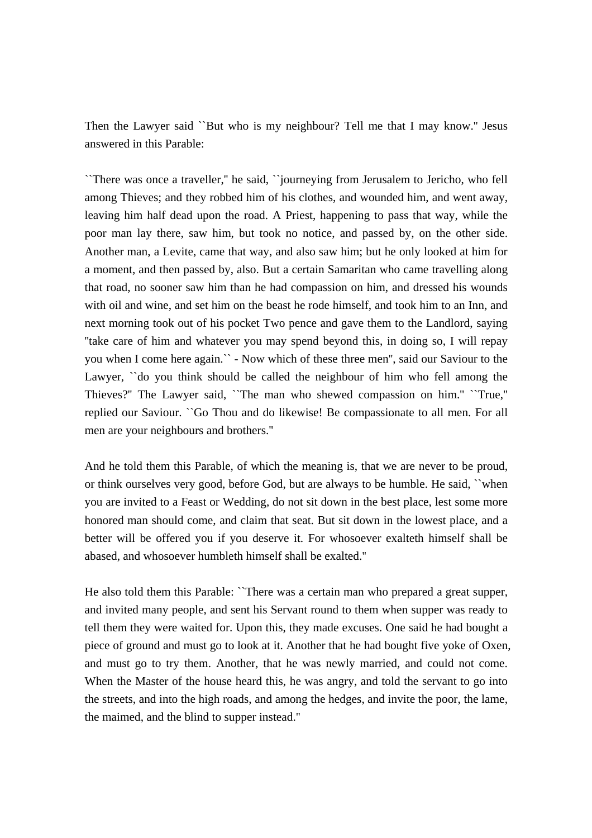Then the Lawyer said ``But who is my neighbour? Tell me that I may know.'' Jesus answered in this Parable:

``There was once a traveller,'' he said, ``journeying from Jerusalem to Jericho, who fell among Thieves; and they robbed him of his clothes, and wounded him, and went away, leaving him half dead upon the road. A Priest, happening to pass that way, while the poor man lay there, saw him, but took no notice, and passed by, on the other side. Another man, a Levite, came that way, and also saw him; but he only looked at him for a moment, and then passed by, also. But a certain Samaritan who came travelling along that road, no sooner saw him than he had compassion on him, and dressed his wounds with oil and wine, and set him on the beast he rode himself, and took him to an Inn, and next morning took out of his pocket Two pence and gave them to the Landlord, saying ''take care of him and whatever you may spend beyond this, in doing so, I will repay you when I come here again.`` - Now which of these three men'', said our Saviour to the Lawyer, "do you think should be called the neighbour of him who fell among the Thieves?'' The Lawyer said, ``The man who shewed compassion on him.'' ``True,'' replied our Saviour. ``Go Thou and do likewise! Be compassionate to all men. For all men are your neighbours and brothers.''

And he told them this Parable, of which the meaning is, that we are never to be proud, or think ourselves very good, before God, but are always to be humble. He said, ``when you are invited to a Feast or Wedding, do not sit down in the best place, lest some more honored man should come, and claim that seat. But sit down in the lowest place, and a better will be offered you if you deserve it. For whosoever exalteth himself shall be abased, and whosoever humbleth himself shall be exalted.''

He also told them this Parable: ``There was a certain man who prepared a great supper, and invited many people, and sent his Servant round to them when supper was ready to tell them they were waited for. Upon this, they made excuses. One said he had bought a piece of ground and must go to look at it. Another that he had bought five yoke of Oxen, and must go to try them. Another, that he was newly married, and could not come. When the Master of the house heard this, he was angry, and told the servant to go into the streets, and into the high roads, and among the hedges, and invite the poor, the lame, the maimed, and the blind to supper instead.''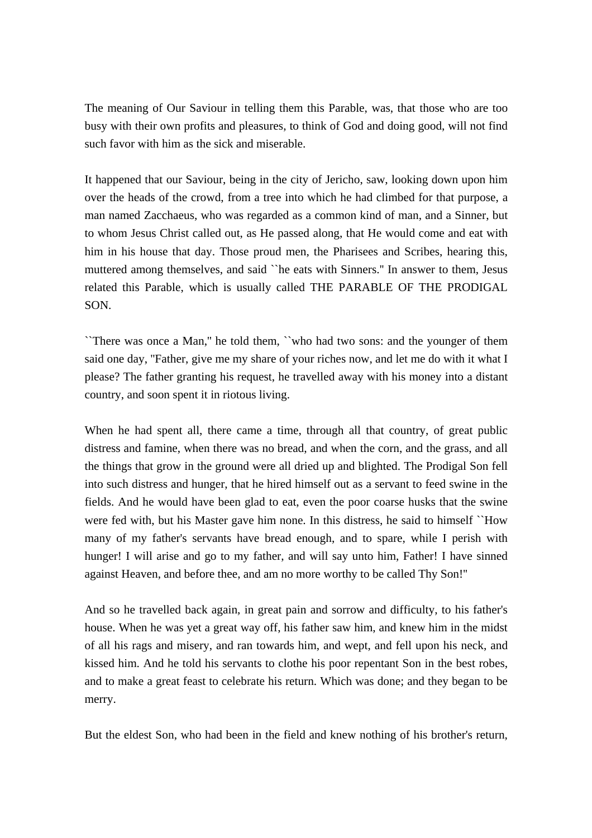The meaning of Our Saviour in telling them this Parable, was, that those who are too busy with their own profits and pleasures, to think of God and doing good, will not find such favor with him as the sick and miserable.

It happened that our Saviour, being in the city of Jericho, saw, looking down upon him over the heads of the crowd, from a tree into which he had climbed for that purpose, a man named Zacchaeus, who was regarded as a common kind of man, and a Sinner, but to whom Jesus Christ called out, as He passed along, that He would come and eat with him in his house that day. Those proud men, the Pharisees and Scribes, hearing this, muttered among themselves, and said ``he eats with Sinners.'' In answer to them, Jesus related this Parable, which is usually called THE PARABLE OF THE PRODIGAL SON.

`There was once a Man," he told them, ``who had two sons: and the younger of them said one day, ''Father, give me my share of your riches now, and let me do with it what I please? The father granting his request, he travelled away with his money into a distant country, and soon spent it in riotous living.

When he had spent all, there came a time, through all that country, of great public distress and famine, when there was no bread, and when the corn, and the grass, and all the things that grow in the ground were all dried up and blighted. The Prodigal Son fell into such distress and hunger, that he hired himself out as a servant to feed swine in the fields. And he would have been glad to eat, even the poor coarse husks that the swine were fed with, but his Master gave him none. In this distress, he said to himself ``How many of my father's servants have bread enough, and to spare, while I perish with hunger! I will arise and go to my father, and will say unto him, Father! I have sinned against Heaven, and before thee, and am no more worthy to be called Thy Son!''

And so he travelled back again, in great pain and sorrow and difficulty, to his father's house. When he was yet a great way off, his father saw him, and knew him in the midst of all his rags and misery, and ran towards him, and wept, and fell upon his neck, and kissed him. And he told his servants to clothe his poor repentant Son in the best robes, and to make a great feast to celebrate his return. Which was done; and they began to be merry.

But the eldest Son, who had been in the field and knew nothing of his brother's return,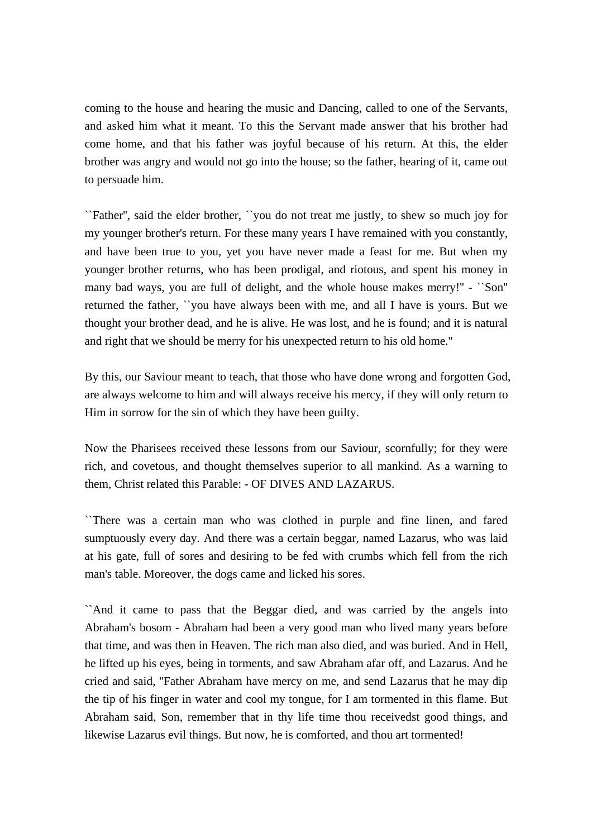coming to the house and hearing the music and Dancing, called to one of the Servants, and asked him what it meant. To this the Servant made answer that his brother had come home, and that his father was joyful because of his return. At this, the elder brother was angry and would not go into the house; so the father, hearing of it, came out to persuade him.

``Father'', said the elder brother, ``you do not treat me justly, to shew so much joy for my younger brother's return. For these many years I have remained with you constantly, and have been true to you, yet you have never made a feast for me. But when my younger brother returns, who has been prodigal, and riotous, and spent his money in many bad ways, you are full of delight, and the whole house makes merry!'' - ``Son'' returned the father, ``you have always been with me, and all I have is yours. But we thought your brother dead, and he is alive. He was lost, and he is found; and it is natural and right that we should be merry for his unexpected return to his old home.''

By this, our Saviour meant to teach, that those who have done wrong and forgotten God, are always welcome to him and will always receive his mercy, if they will only return to Him in sorrow for the sin of which they have been guilty.

Now the Pharisees received these lessons from our Saviour, scornfully; for they were rich, and covetous, and thought themselves superior to all mankind. As a warning to them, Christ related this Parable: - OF DIVES AND LAZARUS.

``There was a certain man who was clothed in purple and fine linen, and fared sumptuously every day. And there was a certain beggar, named Lazarus, who was laid at his gate, full of sores and desiring to be fed with crumbs which fell from the rich man's table. Moreover, the dogs came and licked his sores.

``And it came to pass that the Beggar died, and was carried by the angels into Abraham's bosom - Abraham had been a very good man who lived many years before that time, and was then in Heaven. The rich man also died, and was buried. And in Hell, he lifted up his eyes, being in torments, and saw Abraham afar off, and Lazarus. And he cried and said, ''Father Abraham have mercy on me, and send Lazarus that he may dip the tip of his finger in water and cool my tongue, for I am tormented in this flame. But Abraham said, Son, remember that in thy life time thou receivedst good things, and likewise Lazarus evil things. But now, he is comforted, and thou art tormented!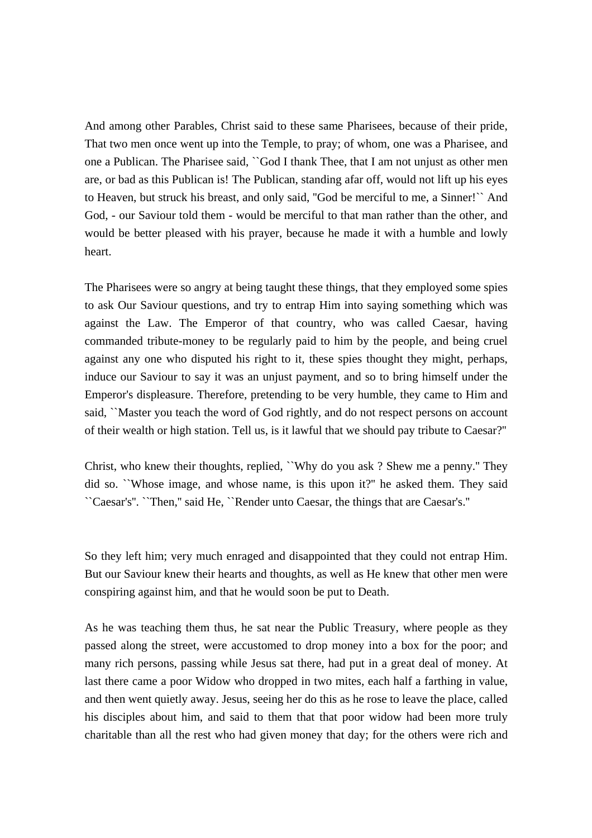And among other Parables, Christ said to these same Pharisees, because of their pride, That two men once went up into the Temple, to pray; of whom, one was a Pharisee, and one a Publican. The Pharisee said, ``God I thank Thee, that I am not unjust as other men are, or bad as this Publican is! The Publican, standing afar off, would not lift up his eyes to Heaven, but struck his breast, and only said, ''God be merciful to me, a Sinner!`` And God, - our Saviour told them - would be merciful to that man rather than the other, and would be better pleased with his prayer, because he made it with a humble and lowly heart.

The Pharisees were so angry at being taught these things, that they employed some spies to ask Our Saviour questions, and try to entrap Him into saying something which was against the Law. The Emperor of that country, who was called Caesar, having commanded tribute-money to be regularly paid to him by the people, and being cruel against any one who disputed his right to it, these spies thought they might, perhaps, induce our Saviour to say it was an unjust payment, and so to bring himself under the Emperor's displeasure. Therefore, pretending to be very humble, they came to Him and said, ``Master you teach the word of God rightly, and do not respect persons on account of their wealth or high station. Tell us, is it lawful that we should pay tribute to Caesar?''

Christ, who knew their thoughts, replied, ``Why do you ask ? Shew me a penny.'' They did so. ``Whose image, and whose name, is this upon it?'' he asked them. They said ``Caesar's''. ``Then,'' said He, ``Render unto Caesar, the things that are Caesar's.''

So they left him; very much enraged and disappointed that they could not entrap Him. But our Saviour knew their hearts and thoughts, as well as He knew that other men were conspiring against him, and that he would soon be put to Death.

As he was teaching them thus, he sat near the Public Treasury, where people as they passed along the street, were accustomed to drop money into a box for the poor; and many rich persons, passing while Jesus sat there, had put in a great deal of money. At last there came a poor Widow who dropped in two mites, each half a farthing in value, and then went quietly away. Jesus, seeing her do this as he rose to leave the place, called his disciples about him, and said to them that that poor widow had been more truly charitable than all the rest who had given money that day; for the others were rich and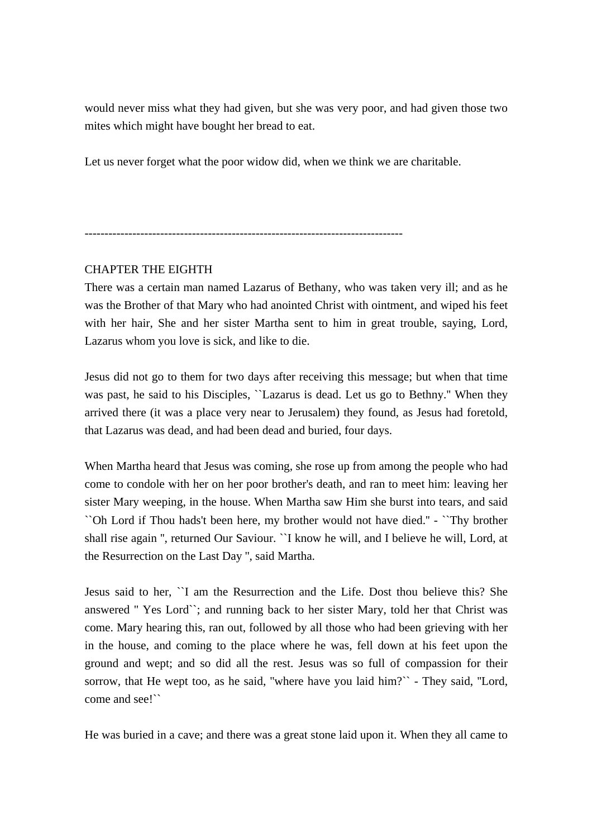would never miss what they had given, but she was very poor, and had given those two mites which might have bought her bread to eat.

Let us never forget what the poor widow did, when we think we are charitable.

--------------------------------------------------------------------------------

### CHAPTER THE EIGHTH

There was a certain man named Lazarus of Bethany, who was taken very ill; and as he was the Brother of that Mary who had anointed Christ with ointment, and wiped his feet with her hair, She and her sister Martha sent to him in great trouble, saying, Lord, Lazarus whom you love is sick, and like to die.

Jesus did not go to them for two days after receiving this message; but when that time was past, he said to his Disciples, "Lazarus is dead. Let us go to Bethny." When they arrived there (it was a place very near to Jerusalem) they found, as Jesus had foretold, that Lazarus was dead, and had been dead and buried, four days.

When Martha heard that Jesus was coming, she rose up from among the people who had come to condole with her on her poor brother's death, and ran to meet him: leaving her sister Mary weeping, in the house. When Martha saw Him she burst into tears, and said ``Oh Lord if Thou hads't been here, my brother would not have died.'' - ``Thy brother shall rise again '', returned Our Saviour. ``I know he will, and I believe he will, Lord, at the Resurrection on the Last Day '', said Martha.

Jesus said to her, ``I am the Resurrection and the Life. Dost thou believe this? She answered '' Yes Lord``; and running back to her sister Mary, told her that Christ was come. Mary hearing this, ran out, followed by all those who had been grieving with her in the house, and coming to the place where he was, fell down at his feet upon the ground and wept; and so did all the rest. Jesus was so full of compassion for their sorrow, that He wept too, as he said, "where have you laid him?" - They said, "Lord, come and see!``

He was buried in a cave; and there was a great stone laid upon it. When they all came to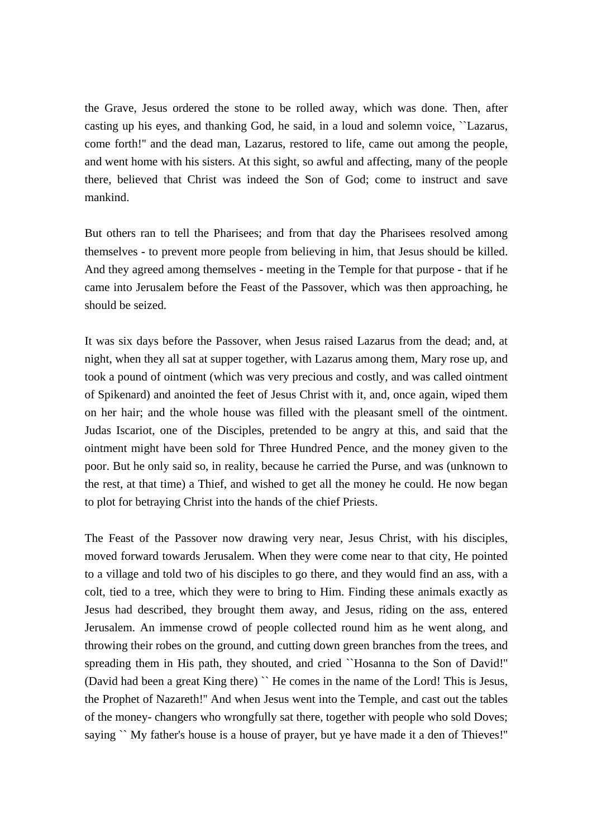the Grave, Jesus ordered the stone to be rolled away, which was done. Then, after casting up his eyes, and thanking God, he said, in a loud and solemn voice, ``Lazarus, come forth!'' and the dead man, Lazarus, restored to life, came out among the people, and went home with his sisters. At this sight, so awful and affecting, many of the people there, believed that Christ was indeed the Son of God; come to instruct and save mankind.

But others ran to tell the Pharisees; and from that day the Pharisees resolved among themselves - to prevent more people from believing in him, that Jesus should be killed. And they agreed among themselves - meeting in the Temple for that purpose - that if he came into Jerusalem before the Feast of the Passover, which was then approaching, he should be seized.

It was six days before the Passover, when Jesus raised Lazarus from the dead; and, at night, when they all sat at supper together, with Lazarus among them, Mary rose up, and took a pound of ointment (which was very precious and costly, and was called ointment of Spikenard) and anointed the feet of Jesus Christ with it, and, once again, wiped them on her hair; and the whole house was filled with the pleasant smell of the ointment. Judas Iscariot, one of the Disciples, pretended to be angry at this, and said that the ointment might have been sold for Three Hundred Pence, and the money given to the poor. But he only said so, in reality, because he carried the Purse, and was (unknown to the rest, at that time) a Thief, and wished to get all the money he could. He now began to plot for betraying Christ into the hands of the chief Priests.

The Feast of the Passover now drawing very near, Jesus Christ, with his disciples, moved forward towards Jerusalem. When they were come near to that city, He pointed to a village and told two of his disciples to go there, and they would find an ass, with a colt, tied to a tree, which they were to bring to Him. Finding these animals exactly as Jesus had described, they brought them away, and Jesus, riding on the ass, entered Jerusalem. An immense crowd of people collected round him as he went along, and throwing their robes on the ground, and cutting down green branches from the trees, and spreading them in His path, they shouted, and cried ``Hosanna to the Son of David!'' (David had been a great King there) `` He comes in the name of the Lord! This is Jesus, the Prophet of Nazareth!'' And when Jesus went into the Temple, and cast out the tables of the money- changers who wrongfully sat there, together with people who sold Doves; saying `` My father's house is a house of prayer, but ye have made it a den of Thieves!"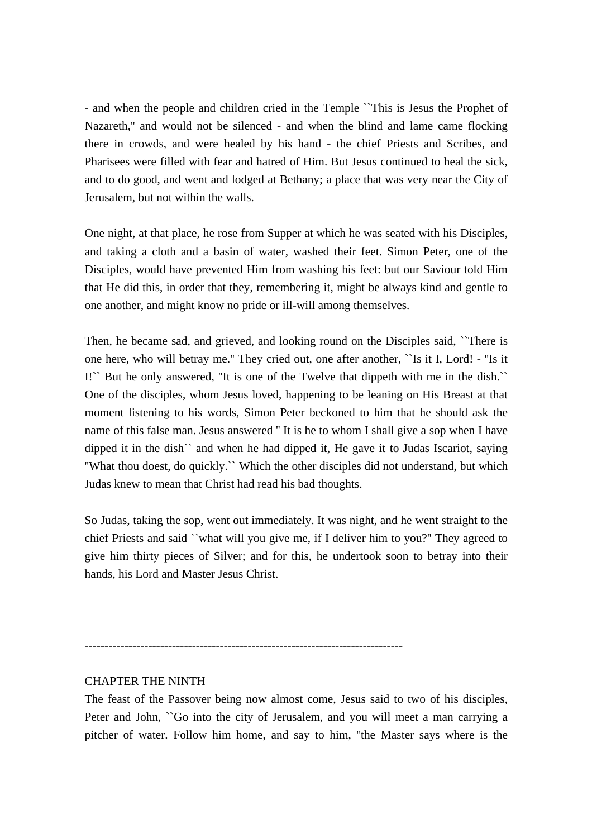- and when the people and children cried in the Temple ``This is Jesus the Prophet of Nazareth,'' and would not be silenced - and when the blind and lame came flocking there in crowds, and were healed by his hand - the chief Priests and Scribes, and Pharisees were filled with fear and hatred of Him. But Jesus continued to heal the sick, and to do good, and went and lodged at Bethany; a place that was very near the City of Jerusalem, but not within the walls.

One night, at that place, he rose from Supper at which he was seated with his Disciples, and taking a cloth and a basin of water, washed their feet. Simon Peter, one of the Disciples, would have prevented Him from washing his feet: but our Saviour told Him that He did this, in order that they, remembering it, might be always kind and gentle to one another, and might know no pride or ill-will among themselves.

Then, he became sad, and grieved, and looking round on the Disciples said, ``There is one here, who will betray me.'' They cried out, one after another, ``Is it I, Lord! - ''Is it I!`` But he only answered, ''It is one of the Twelve that dippeth with me in the dish.`` One of the disciples, whom Jesus loved, happening to be leaning on His Breast at that moment listening to his words, Simon Peter beckoned to him that he should ask the name of this false man. Jesus answered '' It is he to whom I shall give a sop when I have dipped it in the dish`` and when he had dipped it, He gave it to Judas Iscariot, saying ''What thou doest, do quickly.`` Which the other disciples did not understand, but which Judas knew to mean that Christ had read his bad thoughts.

So Judas, taking the sop, went out immediately. It was night, and he went straight to the chief Priests and said ``what will you give me, if I deliver him to you?'' They agreed to give him thirty pieces of Silver; and for this, he undertook soon to betray into their hands, his Lord and Master Jesus Christ.

CHAPTER THE NINTH

The feast of the Passover being now almost come, Jesus said to two of his disciples, Peter and John, ``Go into the city of Jerusalem, and you will meet a man carrying a pitcher of water. Follow him home, and say to him, ''the Master says where is the

--------------------------------------------------------------------------------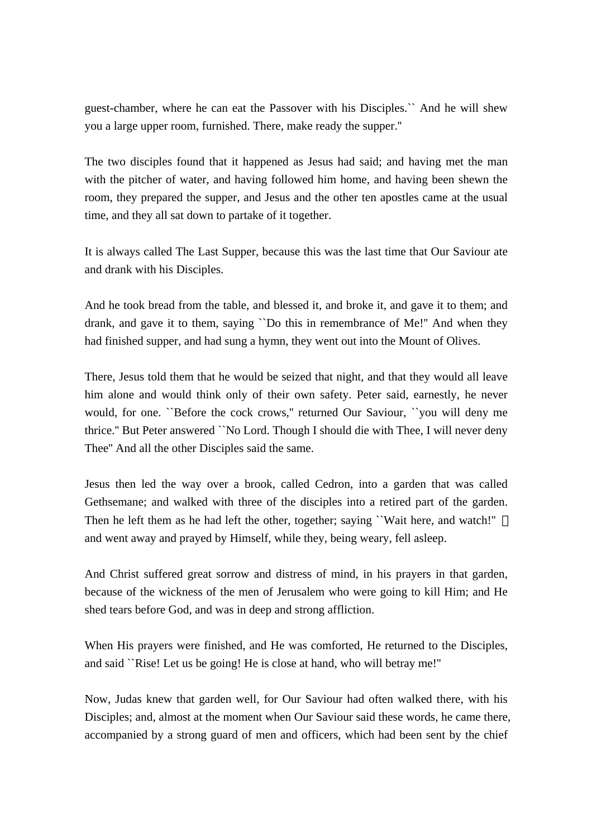guest-chamber, where he can eat the Passover with his Disciples.`` And he will shew you a large upper room, furnished. There, make ready the supper.''

The two disciples found that it happened as Jesus had said; and having met the man with the pitcher of water, and having followed him home, and having been shewn the room, they prepared the supper, and Jesus and the other ten apostles came at the usual time, and they all sat down to partake of it together.

It is always called The Last Supper, because this was the last time that Our Saviour ate and drank with his Disciples.

And he took bread from the table, and blessed it, and broke it, and gave it to them; and drank, and gave it to them, saying ``Do this in remembrance of Me!'' And when they had finished supper, and had sung a hymn, they went out into the Mount of Olives.

There, Jesus told them that he would be seized that night, and that they would all leave him alone and would think only of their own safety. Peter said, earnestly, he never would, for one. ``Before the cock crows," returned Our Saviour, ``you will deny me thrice.'' But Peter answered ``No Lord. Though I should die with Thee, I will never deny Thee'' And all the other Disciples said the same.

Jesus then led the way over a brook, called Cedron, into a garden that was called Gethsemane; and walked with three of the disciples into a retired part of the garden. Then he left them as he had left the other, together; saying ``Wait here, and watch!" and went away and prayed by Himself, while they, being weary, fell asleep.

And Christ suffered great sorrow and distress of mind, in his prayers in that garden, because of the wickness of the men of Jerusalem who were going to kill Him; and He shed tears before God, and was in deep and strong affliction.

When His prayers were finished, and He was comforted, He returned to the Disciples, and said ``Rise! Let us be going! He is close at hand, who will betray me!''

Now, Judas knew that garden well, for Our Saviour had often walked there, with his Disciples; and, almost at the moment when Our Saviour said these words, he came there, accompanied by a strong guard of men and officers, which had been sent by the chief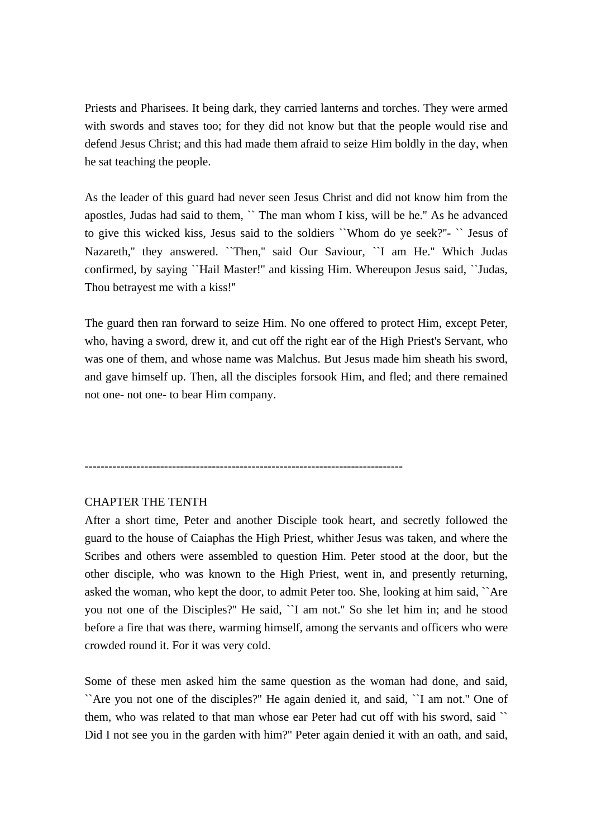Priests and Pharisees. It being dark, they carried lanterns and torches. They were armed with swords and staves too; for they did not know but that the people would rise and defend Jesus Christ; and this had made them afraid to seize Him boldly in the day, when he sat teaching the people.

As the leader of this guard had never seen Jesus Christ and did not know him from the apostles, Judas had said to them, `` The man whom I kiss, will be he.'' As he advanced to give this wicked kiss, Jesus said to the soldiers ``Whom do ye seek?''- `` Jesus of Nazareth,'' they answered. ``Then,'' said Our Saviour, ``I am He.'' Which Judas confirmed, by saying ``Hail Master!'' and kissing Him. Whereupon Jesus said, ``Judas, Thou betrayest me with a kiss!''

The guard then ran forward to seize Him. No one offered to protect Him, except Peter, who, having a sword, drew it, and cut off the right ear of the High Priest's Servant, who was one of them, and whose name was Malchus. But Jesus made him sheath his sword, and gave himself up. Then, all the disciples forsook Him, and fled; and there remained not one- not one- to bear Him company.

--------------------------------------------------------------------------------

# CHAPTER THE TENTH

After a short time, Peter and another Disciple took heart, and secretly followed the guard to the house of Caiaphas the High Priest, whither Jesus was taken, and where the Scribes and others were assembled to question Him. Peter stood at the door, but the other disciple, who was known to the High Priest, went in, and presently returning, asked the woman, who kept the door, to admit Peter too. She, looking at him said, ``Are you not one of the Disciples?'' He said, ``I am not.'' So she let him in; and he stood before a fire that was there, warming himself, among the servants and officers who were crowded round it. For it was very cold.

Some of these men asked him the same question as the woman had done, and said, ``Are you not one of the disciples?'' He again denied it, and said, ``I am not.'' One of them, who was related to that man whose ear Peter had cut off with his sword, said `` Did I not see you in the garden with him?" Peter again denied it with an oath, and said,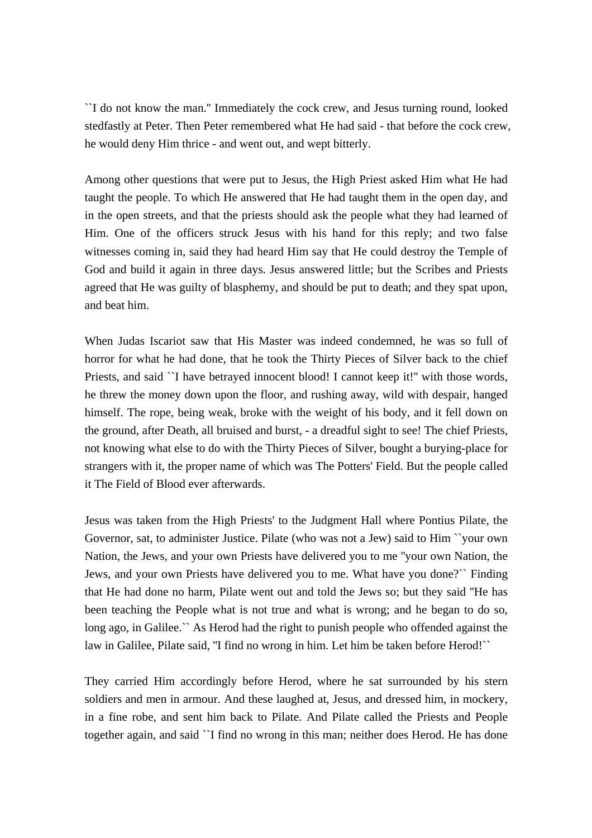``I do not know the man.'' Immediately the cock crew, and Jesus turning round, looked stedfastly at Peter. Then Peter remembered what He had said - that before the cock crew, he would deny Him thrice - and went out, and wept bitterly.

Among other questions that were put to Jesus, the High Priest asked Him what He had taught the people. To which He answered that He had taught them in the open day, and in the open streets, and that the priests should ask the people what they had learned of Him. One of the officers struck Jesus with his hand for this reply; and two false witnesses coming in, said they had heard Him say that He could destroy the Temple of God and build it again in three days. Jesus answered little; but the Scribes and Priests agreed that He was guilty of blasphemy, and should be put to death; and they spat upon, and beat him.

When Judas Iscariot saw that His Master was indeed condemned, he was so full of horror for what he had done, that he took the Thirty Pieces of Silver back to the chief Priests, and said ``I have betrayed innocent blood! I cannot keep it!" with those words, he threw the money down upon the floor, and rushing away, wild with despair, hanged himself. The rope, being weak, broke with the weight of his body, and it fell down on the ground, after Death, all bruised and burst, - a dreadful sight to see! The chief Priests, not knowing what else to do with the Thirty Pieces of Silver, bought a burying-place for strangers with it, the proper name of which was The Potters' Field. But the people called it The Field of Blood ever afterwards.

Jesus was taken from the High Priests' to the Judgment Hall where Pontius Pilate, the Governor, sat, to administer Justice. Pilate (who was not a Jew) said to Him ``your own Nation, the Jews, and your own Priests have delivered you to me ''your own Nation, the Jews, and your own Priests have delivered you to me. What have you done?`` Finding that He had done no harm, Pilate went out and told the Jews so; but they said ''He has been teaching the People what is not true and what is wrong; and he began to do so, long ago, in Galilee. As Herod had the right to punish people who offended against the law in Galilee, Pilate said, "I find no wrong in him. Let him be taken before Herod!``

They carried Him accordingly before Herod, where he sat surrounded by his stern soldiers and men in armour. And these laughed at, Jesus, and dressed him, in mockery, in a fine robe, and sent him back to Pilate. And Pilate called the Priests and People together again, and said ``I find no wrong in this man; neither does Herod. He has done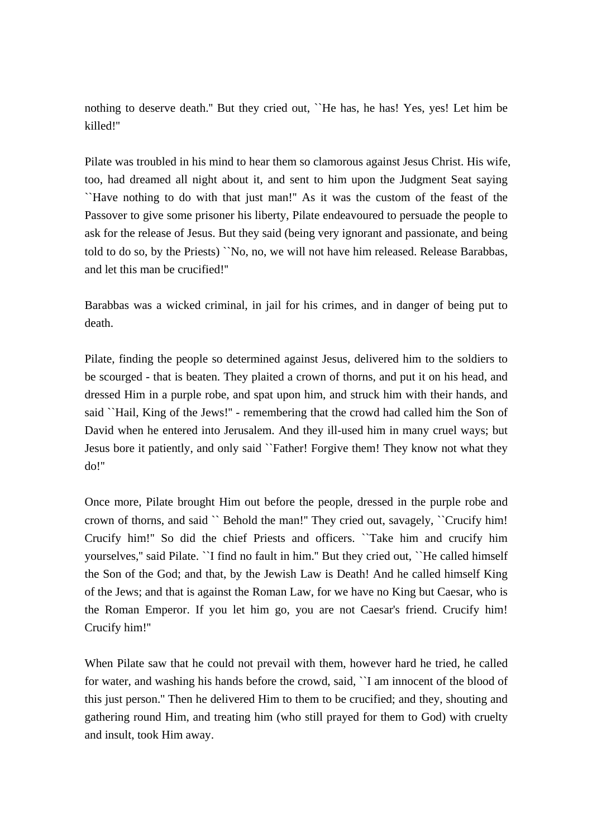nothing to deserve death.'' But they cried out, ``He has, he has! Yes, yes! Let him be killed!''

Pilate was troubled in his mind to hear them so clamorous against Jesus Christ. His wife, too, had dreamed all night about it, and sent to him upon the Judgment Seat saying ``Have nothing to do with that just man!'' As it was the custom of the feast of the Passover to give some prisoner his liberty, Pilate endeavoured to persuade the people to ask for the release of Jesus. But they said (being very ignorant and passionate, and being told to do so, by the Priests) ``No, no, we will not have him released. Release Barabbas, and let this man be crucified!''

Barabbas was a wicked criminal, in jail for his crimes, and in danger of being put to death.

Pilate, finding the people so determined against Jesus, delivered him to the soldiers to be scourged - that is beaten. They plaited a crown of thorns, and put it on his head, and dressed Him in a purple robe, and spat upon him, and struck him with their hands, and said ``Hail, King of the Jews!'' - remembering that the crowd had called him the Son of David when he entered into Jerusalem. And they ill-used him in many cruel ways; but Jesus bore it patiently, and only said ``Father! Forgive them! They know not what they do!''

Once more, Pilate brought Him out before the people, dressed in the purple robe and crown of thorns, and said `` Behold the man!'' They cried out, savagely, ``Crucify him! Crucify him!'' So did the chief Priests and officers. ``Take him and crucify him yourselves,'' said Pilate. ``I find no fault in him.'' But they cried out, ``He called himself the Son of the God; and that, by the Jewish Law is Death! And he called himself King of the Jews; and that is against the Roman Law, for we have no King but Caesar, who is the Roman Emperor. If you let him go, you are not Caesar's friend. Crucify him! Crucify him!''

When Pilate saw that he could not prevail with them, however hard he tried, he called for water, and washing his hands before the crowd, said, ``I am innocent of the blood of this just person.'' Then he delivered Him to them to be crucified; and they, shouting and gathering round Him, and treating him (who still prayed for them to God) with cruelty and insult, took Him away.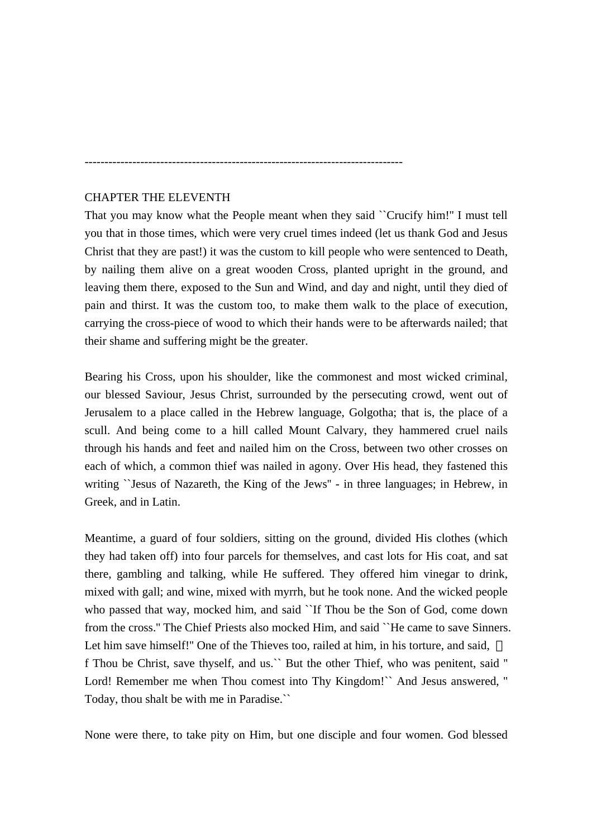# CHAPTER THE ELEVENTH

That you may know what the People meant when they said ``Crucify him!'' I must tell you that in those times, which were very cruel times indeed (let us thank God and Jesus Christ that they are past!) it was the custom to kill people who were sentenced to Death, by nailing them alive on a great wooden Cross, planted upright in the ground, and leaving them there, exposed to the Sun and Wind, and day and night, until they died of pain and thirst. It was the custom too, to make them walk to the place of execution, carrying the cross-piece of wood to which their hands were to be afterwards nailed; that their shame and suffering might be the greater.

--------------------------------------------------------------------------------

Bearing his Cross, upon his shoulder, like the commonest and most wicked criminal, our blessed Saviour, Jesus Christ, surrounded by the persecuting crowd, went out of Jerusalem to a place called in the Hebrew language, Golgotha; that is, the place of a scull. And being come to a hill called Mount Calvary, they hammered cruel nails through his hands and feet and nailed him on the Cross, between two other crosses on each of which, a common thief was nailed in agony. Over His head, they fastened this writing ``Jesus of Nazareth, the King of the Jews'' - in three languages; in Hebrew, in Greek, and in Latin.

Meantime, a guard of four soldiers, sitting on the ground, divided His clothes (which they had taken off) into four parcels for themselves, and cast lots for His coat, and sat there, gambling and talking, while He suffered. They offered him vinegar to drink, mixed with gall; and wine, mixed with myrrh, but he took none. And the wicked people who passed that way, mocked him, and said ``If Thou be the Son of God, come down from the cross.'' The Chief Priests also mocked Him, and said ``He came to save Sinners. Let him save himself!" One of the Thieves too, railed at him, in his torture, and said, f Thou be Christ, save thyself, and us.`` But the other Thief, who was penitent, said '' Lord! Remember me when Thou comest into Thy Kingdom!`` And Jesus answered, " Today, thou shalt be with me in Paradise.``

None were there, to take pity on Him, but one disciple and four women. God blessed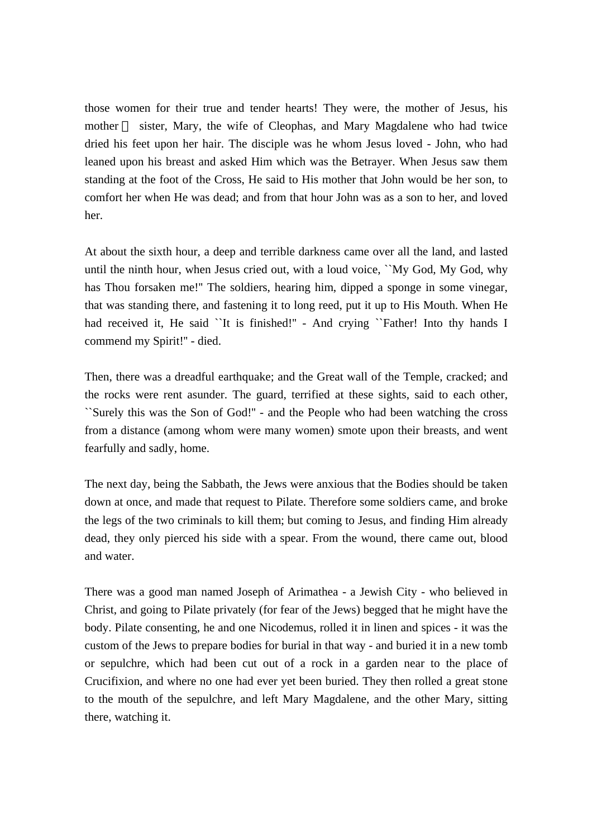those women for their true and tender hearts! They were, the mother of Jesus, his mother sister, Mary, the wife of Cleophas, and Mary Magdalene who had twice dried his feet upon her hair. The disciple was he whom Jesus loved - John, who had leaned upon his breast and asked Him which was the Betrayer. When Jesus saw them standing at the foot of the Cross, He said to His mother that John would be her son, to comfort her when He was dead; and from that hour John was as a son to her, and loved her.

At about the sixth hour, a deep and terrible darkness came over all the land, and lasted until the ninth hour, when Jesus cried out, with a loud voice, ``My God, My God, why has Thou forsaken me!'' The soldiers, hearing him, dipped a sponge in some vinegar, that was standing there, and fastening it to long reed, put it up to His Mouth. When He had received it, He said ``It is finished!'' - And crying ``Father! Into thy hands I commend my Spirit!'' - died.

Then, there was a dreadful earthquake; and the Great wall of the Temple, cracked; and the rocks were rent asunder. The guard, terrified at these sights, said to each other, ``Surely this was the Son of God!'' - and the People who had been watching the cross from a distance (among whom were many women) smote upon their breasts, and went fearfully and sadly, home.

The next day, being the Sabbath, the Jews were anxious that the Bodies should be taken down at once, and made that request to Pilate. Therefore some soldiers came, and broke the legs of the two criminals to kill them; but coming to Jesus, and finding Him already dead, they only pierced his side with a spear. From the wound, there came out, blood and water.

There was a good man named Joseph of Arimathea - a Jewish City - who believed in Christ, and going to Pilate privately (for fear of the Jews) begged that he might have the body. Pilate consenting, he and one Nicodemus, rolled it in linen and spices - it was the custom of the Jews to prepare bodies for burial in that way - and buried it in a new tomb or sepulchre, which had been cut out of a rock in a garden near to the place of Crucifixion, and where no one had ever yet been buried. They then rolled a great stone to the mouth of the sepulchre, and left Mary Magdalene, and the other Mary, sitting there, watching it.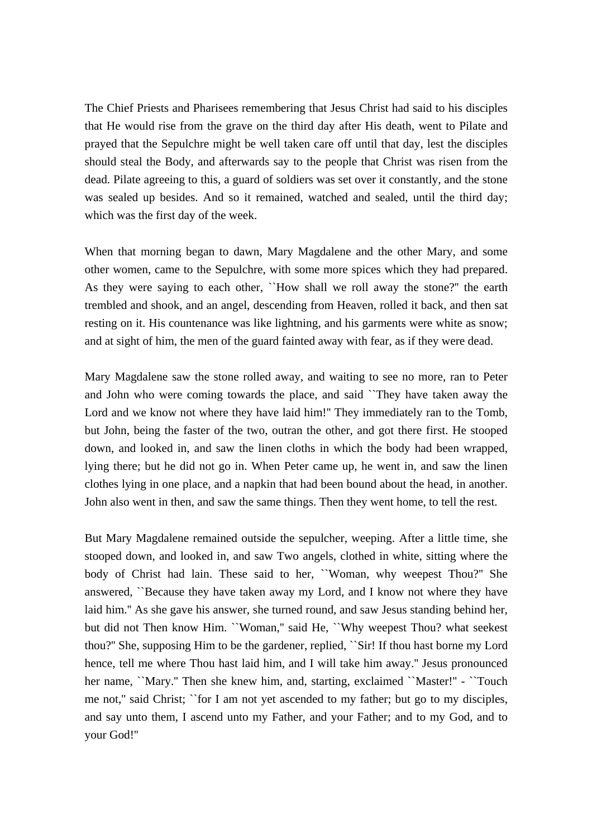The Chief Priests and Pharisees remembering that Jesus Christ had said to his disciples that He would rise from the grave on the third day after His death, went to Pilate and prayed that the Sepulchre might be well taken care off until that day, lest the disciples should steal the Body, and afterwards say to the people that Christ was risen from the dead. Pilate agreeing to this, a guard of soldiers was set over it constantly, and the stone was sealed up besides. And so it remained, watched and sealed, until the third day; which was the first day of the week.

When that morning began to dawn, Mary Magdalene and the other Mary, and some other women, came to the Sepulchre, with some more spices which they had prepared. As they were saying to each other, ``How shall we roll away the stone?'' the earth trembled and shook, and an angel, descending from Heaven, rolled it back, and then sat resting on it. His countenance was like lightning, and his garments were white as snow; and at sight of him, the men of the guard fainted away with fear, as if they were dead.

Mary Magdalene saw the stone rolled away, and waiting to see no more, ran to Peter and John who were coming towards the place, and said ``They have taken away the Lord and we know not where they have laid him!'' They immediately ran to the Tomb, but John, being the faster of the two, outran the other, and got there first. He stooped down, and looked in, and saw the linen cloths in which the body had been wrapped, lying there; but he did not go in. When Peter came up, he went in, and saw the linen clothes lying in one place, and a napkin that had been bound about the head, in another. John also went in then, and saw the same things. Then they went home, to tell the rest.

But Mary Magdalene remained outside the sepulcher, weeping. After a little time, she stooped down, and looked in, and saw Two angels, clothed in white, sitting where the body of Christ had lain. These said to her, ``Woman, why weepest Thou?'' She answered, ``Because they have taken away my Lord, and I know not where they have laid him.'' As she gave his answer, she turned round, and saw Jesus standing behind her, but did not Then know Him. ``Woman,'' said He, ``Why weepest Thou? what seekest thou?'' She, supposing Him to be the gardener, replied, ``Sir! If thou hast borne my Lord hence, tell me where Thou hast laid him, and I will take him away.'' Jesus pronounced her name, ``Mary.'' Then she knew him, and, starting, exclaimed ``Master!'' - ``Touch me not,'' said Christ; ``for I am not yet ascended to my father; but go to my disciples, and say unto them, I ascend unto my Father, and your Father; and to my God, and to your God!''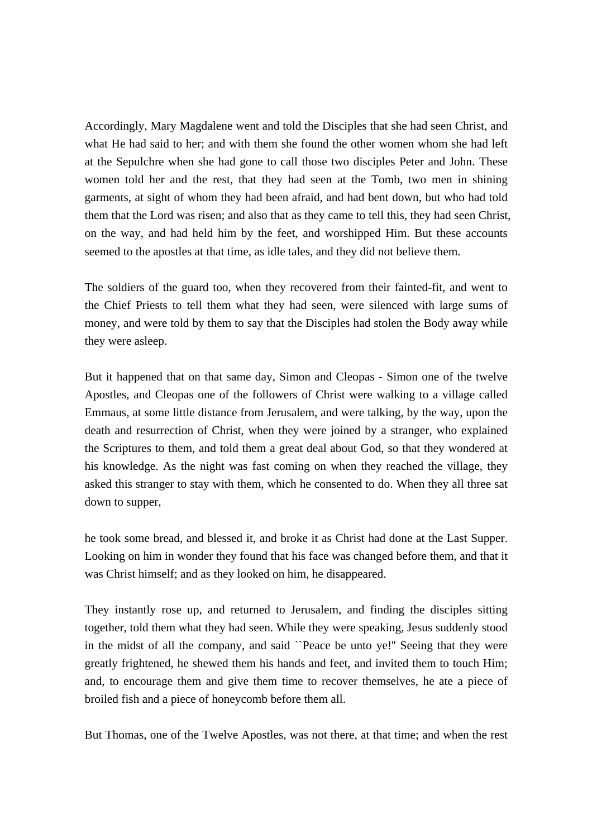Accordingly, Mary Magdalene went and told the Disciples that she had seen Christ, and what He had said to her; and with them she found the other women whom she had left at the Sepulchre when she had gone to call those two disciples Peter and John. These women told her and the rest, that they had seen at the Tomb, two men in shining garments, at sight of whom they had been afraid, and had bent down, but who had told them that the Lord was risen; and also that as they came to tell this, they had seen Christ, on the way, and had held him by the feet, and worshipped Him. But these accounts seemed to the apostles at that time, as idle tales, and they did not believe them.

The soldiers of the guard too, when they recovered from their fainted-fit, and went to the Chief Priests to tell them what they had seen, were silenced with large sums of money, and were told by them to say that the Disciples had stolen the Body away while they were asleep.

But it happened that on that same day, Simon and Cleopas - Simon one of the twelve Apostles, and Cleopas one of the followers of Christ were walking to a village called Emmaus, at some little distance from Jerusalem, and were talking, by the way, upon the death and resurrection of Christ, when they were joined by a stranger, who explained the Scriptures to them, and told them a great deal about God, so that they wondered at his knowledge. As the night was fast coming on when they reached the village, they asked this stranger to stay with them, which he consented to do. When they all three sat down to supper,

he took some bread, and blessed it, and broke it as Christ had done at the Last Supper. Looking on him in wonder they found that his face was changed before them, and that it was Christ himself; and as they looked on him, he disappeared.

They instantly rose up, and returned to Jerusalem, and finding the disciples sitting together, told them what they had seen. While they were speaking, Jesus suddenly stood in the midst of all the company, and said ``Peace be unto ye!'' Seeing that they were greatly frightened, he shewed them his hands and feet, and invited them to touch Him; and, to encourage them and give them time to recover themselves, he ate a piece of broiled fish and a piece of honeycomb before them all.

But Thomas, one of the Twelve Apostles, was not there, at that time; and when the rest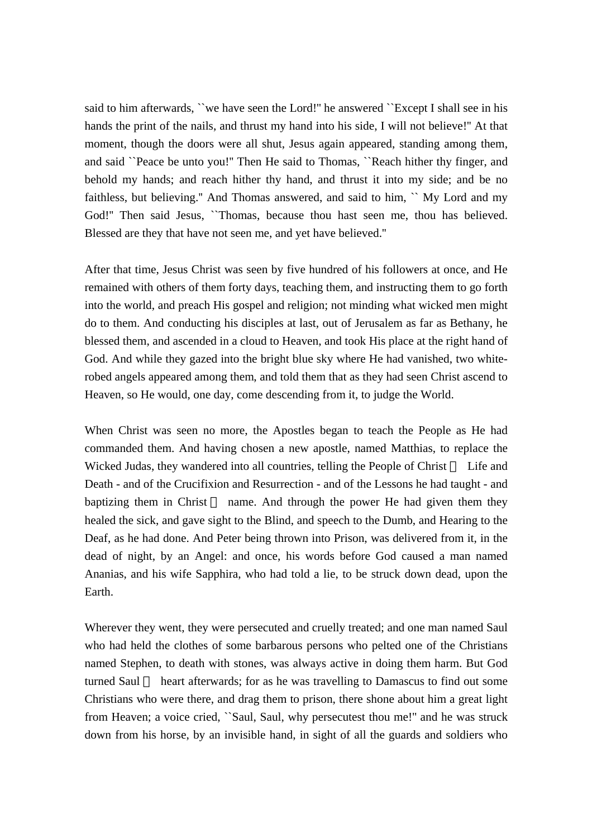said to him afterwards, "we have seen the Lord!" he answered "Except I shall see in his hands the print of the nails, and thrust my hand into his side, I will not believe!'' At that moment, though the doors were all shut, Jesus again appeared, standing among them, and said ``Peace be unto you!'' Then He said to Thomas, ``Reach hither thy finger, and behold my hands; and reach hither thy hand, and thrust it into my side; and be no faithless, but believing.'' And Thomas answered, and said to him, `` My Lord and my God!" Then said Jesus, ``Thomas, because thou hast seen me, thou has believed. Blessed are they that have not seen me, and yet have believed.''

After that time, Jesus Christ was seen by five hundred of his followers at once, and He remained with others of them forty days, teaching them, and instructing them to go forth into the world, and preach His gospel and religion; not minding what wicked men might do to them. And conducting his disciples at last, out of Jerusalem as far as Bethany, he blessed them, and ascended in a cloud to Heaven, and took His place at the right hand of God. And while they gazed into the bright blue sky where He had vanished, two whiterobed angels appeared among them, and told them that as they had seen Christ ascend to Heaven, so He would, one day, come descending from it, to judge the World.

When Christ was seen no more, the Apostles began to teach the People as He had commanded them. And having chosen a new apostle, named Matthias, to replace the Wicked Judas, they wandered into all countries, telling the People of Christ Life and Death - and of the Crucifixion and Resurrection - and of the Lessons he had taught - and baptizing them in Christ name. And through the power He had given them they healed the sick, and gave sight to the Blind, and speech to the Dumb, and Hearing to the Deaf, as he had done. And Peter being thrown into Prison, was delivered from it, in the dead of night, by an Angel: and once, his words before God caused a man named Ananias, and his wife Sapphira, who had told a lie, to be struck down dead, upon the Earth.

Wherever they went, they were persecuted and cruelly treated; and one man named Saul who had held the clothes of some barbarous persons who pelted one of the Christians named Stephen, to death with stones, was always active in doing them harm. But God turned Saul heart afterwards; for as he was travelling to Damascus to find out some Christians who were there, and drag them to prison, there shone about him a great light from Heaven; a voice cried, ``Saul, Saul, why persecutest thou me!'' and he was struck down from his horse, by an invisible hand, in sight of all the guards and soldiers who